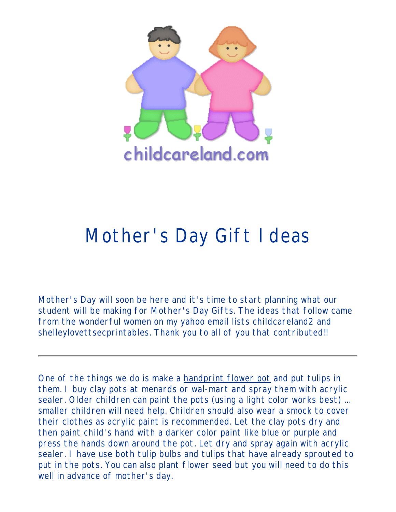

# Mother's Day Gift Ideas

Mother's Day will soon be here and it's time to start planning what our student will be making for Mother's Day Gifts. The ideas that follow came from the wonderful women on my yahoo email lists childcareland2 and shelleylovettsecprintables. Thank you to all of you that contributed!!

One of the things we do is make a handprint flower pot and put tulips in them. I buy clay pots at menards or wal-mart and spray them with acrylic sealer. Older children can paint the pots (using a light color works best) ... smaller children will need help. Children should also wear a smock to cover their clothes as acrylic paint is recommended. Let the clay pots dry and then paint child's hand with a darker color paint like blue or purple and press the hands down around the pot. Let dry and spray again with acrylic sealer. I have use both tulip bulbs and tulips that have already sprouted to put in the pots. You can also plant flower seed but you will need to do this well in advance of mother's day.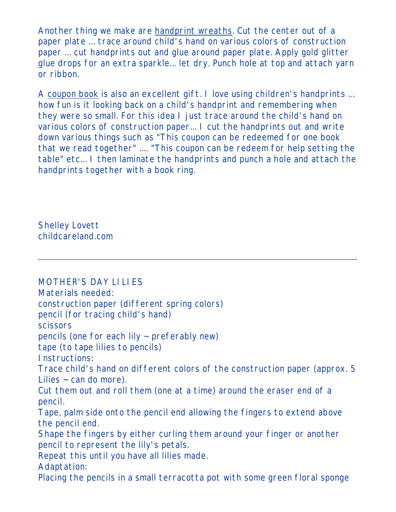Another thing we make are handprint wreaths. Cut the center out of a paper plate ... trace around child's hand on various colors of construction paper ... cut handprints out and glue around paper plate. Apply gold glitter glue drops for an extra sparkle... let dry. Punch hole at top and attach yarn or ribbon.

A coupon book is also an excellent gift. I love using children's handprints ... how fun is it looking back on a child's handprint and remembering when they were so small. For this idea I just trace around the child's hand on various colors of construction paper... I cut the handprints out and write down various things such as "This coupon can be redeemed for one book that we read together" .... "This coupon can be redeem for help setting the table" etc... I then laminate the handprints and punch a hole and attach the handprints together with a book ring.

Shelley Lovett childcareland.com

MOTHER'S DAY LILIES Materials needed: construction paper (different spring colors) pencil (for tracing child's hand) scissors pencils (one for each lily ~ preferably new) tape (to tape lilies to pencils) Instructions: Trace child's hand on different colors of the construction paper (approx. 5 Lilies  $\sim$  can do more). Cut them out and roll them (one at a time) around the eraser end of a pencil. Tape, palm side onto the pencil end allowing the fingers to extend above the pencil end. Shape the fingers by either curling them around your finger or another pencil to represent the lily's petals. Repeat this until you have all lilies made. Adaptation: Placing the pencils in a small terracotta pot with some green floral sponge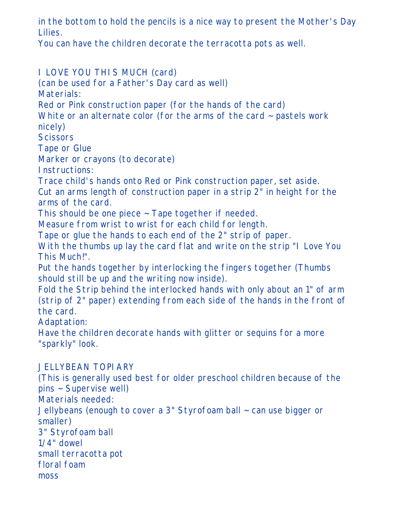in the bottom to hold the pencils is a nice way to present the Mother's Day Lilies.

You can have the children decorate the terracotta pots as well.

I LOVE YOU THIS MUCH (card) (can be used for a Father's Day card as well) Materials: Red or Pink construction paper (for the hands of the card) White or an alternate color (for the arms of the card  $\sim$  pastels work nicely) **Scissors** Tape or Glue Marker or crayons (to decorate) Instructions: Trace child's hands onto Red or Pink construction paper, set aside. Cut an arms length of construction paper in a strip 2" in height for the arms of the card. This should be one piece ~ Tape together if needed. Measure from wrist to wrist for each child for length. Tape or glue the hands to each end of the 2" strip of paper. With the thumbs up lay the card flat and write on the strip "I Love You This Much!". Put the hands together by interlocking the fingers together (Thumbs should still be up and the writing now inside). Fold the Strip behind the interlocked hands with only about an 1" of arm (strip of 2" paper) extending from each side of the hands in the front of the card. Adaptation: Have the children decorate hands with glitter or sequins for a more "sparkly" look. JELLYBEAN TOPIARY (This is generally used best for older preschool children because of the pins ~ Supervise well) Materials needed: Jellybeans (enough to cover a 3" Styrofoam ball ~ can use bigger or smaller) 3" Styrofoam ball 1/4" dowel small terracotta pot floral foam moss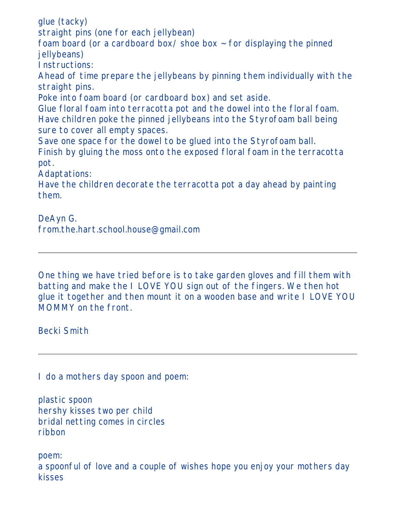glue (tacky) straight pins (one for each jellybean) foam board (or a cardboard box/shoe box  $\sim$  for displaying the pinned jellybeans) Instructions: Ahead of time prepare the jellybeans by pinning them individually with the straight pins. Poke into foam board (or cardboard box) and set aside. Glue floral foam into terracotta pot and the dowel into the floral foam. Have children poke the pinned jellybeans into the Styrofoam ball being sure to cover all empty spaces. Save one space for the dowel to be glued into the Styrofoam ball. Finish by gluing the moss onto the exposed floral foam in the terracotta pot. Adaptations: Have the children decorate the terracotta pot a day ahead by painting them.

DeAyn G. from.the.hart.school.house@gmail.com

One thing we have tried before is to take garden gloves and fill them with batting and make the I LOVE YOU sign out of the fingers. We then hot glue it together and then mount it on a wooden base and write I LOVE YOU MOMMY on the front.

Becki Smith

I do a mothers day spoon and poem:

plastic spoon hershy kisses two per child bridal netting comes in circles ribbon

poem:

a spoonful of love and a couple of wishes hope you enjoy your mothers day kisses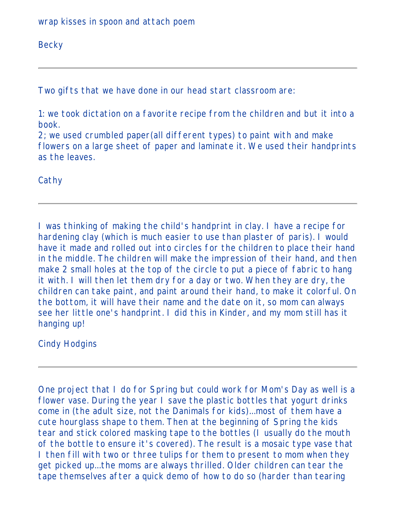wrap kisses in spoon and attach poem

**Becky** 

Two gifts that we have done in our head start classroom are:

1: we took dictation on a favorite recipe from the children and but it into a book.

2; we used crumbled paper(all different types) to paint with and make flowers on a large sheet of paper and laminate it. We used their handprints as the leaves.

**Cathy** 

I was thinking of making the child's handprint in clay. I have a recipe for hardening clay (which is much easier to use than plaster of paris). I would have it made and rolled out into circles for the children to place their hand in the middle. The children will make the impression of their hand, and then make 2 small holes at the top of the circle to put a piece of fabric to hang it with. I will then let them dry for a day or two. When they are dry, the children can take paint, and paint around their hand, to make it colorful. On the bottom, it will have their name and the date on it, so mom can always see her little one's handprint. I did this in Kinder, and my mom still has it hanging up!

Cindy Hodgins

One project that I do for Spring but could work for Mom's Day as well is a flower vase. During the year I save the plastic bottles that yogurt drinks come in (the adult size, not the Danimals for kids)...most of them have a cute hourglass shape to them. Then at the beginning of Spring the kids tear and stick colored masking tape to the bottles (I usually do the mouth of the bottle to ensure it's covered). The result is a mosaic type vase that I then fill with two or three tulips for them to present to mom when they get picked up...the moms are always thrilled. Older children can tear the tape themselves after a quick demo of how to do so (harder than tearing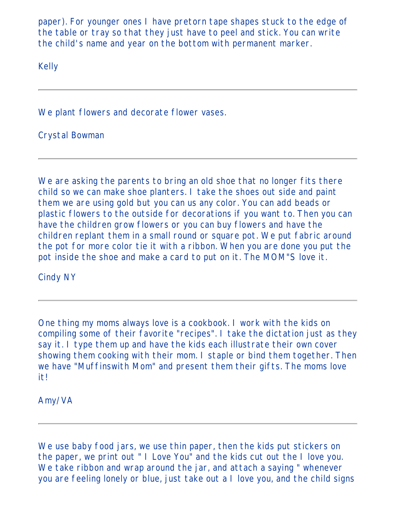paper). For younger ones I have pretorn tape shapes stuck to the edge of the table or tray so that they just have to peel and stick. You can write the child's name and year on the bottom with permanent marker.

Kelly

We plant flowers and decorate flower vases.

Crystal Bowman

We are asking the parents to bring an old shoe that no longer fits there child so we can make shoe planters. I take the shoes out side and paint them we are using gold but you can us any color. You can add beads or plastic flowers to the outside for decorations if you want to. Then you can have the children grow flowers or you can buy flowers and have the children replant them in a small round or square pot. We put fabric around the pot for more color tie it with a ribbon. When you are done you put the pot inside the shoe and make a card to put on it. The MOM"S love it.

Cindy NY

One thing my moms always love is a cookbook. I work with the kids on compiling some of their favorite "recipes". I take the dictation just as they say it. I type them up and have the kids each illustrate their own cover showing them cooking with their mom. I staple or bind them together. Then we have "Muffinswith Mom" and present them their gifts. The moms love it!

Amy/VA

We use baby food jars, we use thin paper, then the kids put stickers on the paper, we print out " I Love You" and the kids cut out the I love you. We take ribbon and wrap around the jar, and attach a saying " whenever you are feeling lonely or blue, just take out a I love you, and the child signs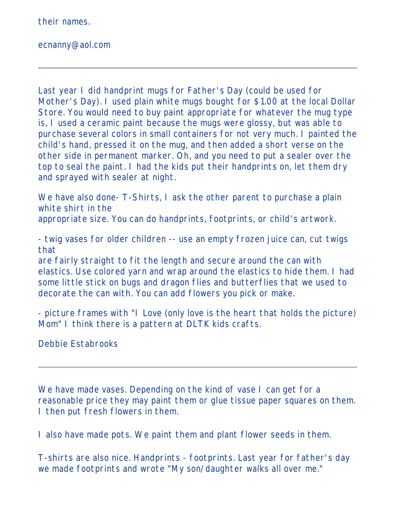their names.

ecnanny@aol.com

Last year I did handprint mugs for Father's Day (could be used for Mother's Day). I used plain white mugs bought for \$1.00 at the local Dollar Store. You would need to buy paint appropriate for whatever the mug type is, I used a ceramic paint because the mugs were glossy, but was able to purchase several colors in small containers for not very much. I painted the child's hand, pressed it on the mug, and then added a short verse on the other side in permanent marker. Oh, and you need to put a sealer over the top to seal the paint. I had the kids put their handprints on, let them dry and sprayed with sealer at night.

We have also done- T-Shirts, I ask the other parent to purchase a plain white shirt in the appropriate size. You can do handprints, footprints, or child's artwork.

- twig vases for older children -- use an empty frozen juice can, cut twigs that

are fairly straight to fit the length and secure around the can with elastics. Use colored yarn and wrap around the elastics to hide them. I had some little stick on bugs and dragon flies and butterflies that we used to decorate the can with. You can add flowers you pick or make.

- picture frames with "I Love (only love is the heart that holds the picture) Mom" I think there is a pattern at DLTK kids crafts.

Debbie Estabrooks

We have made vases. Depending on the kind of vase I can get for a reasonable price they may paint them or glue tissue paper squares on them. I then put fresh flowers in them.

I also have made pots. We paint them and plant flower seeds in them.

T-shirts are also nice. Handprints - footprints. Last year for father's day we made footprints and wrote "My son/daughter walks all over me."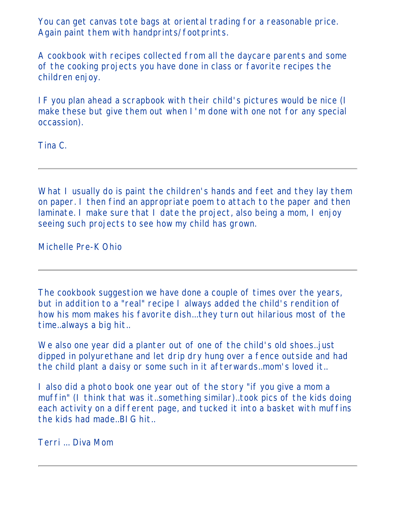You can get canvas tote bags at oriental trading for a reasonable price. Again paint them with handprints/footprints.

A cookbook with recipes collected from all the daycare parents and some of the cooking projects you have done in class or favorite recipes the children enjoy.

IF you plan ahead a scrapbook with their child's pictures would be nice (I make these but give them out when I'm done with one not for any special occassion).

Tina C.

What I usually do is paint the children's hands and feet and they lay them on paper. I then find an appropriate poem to attach to the paper and then laminate. I make sure that I date the project, also being a mom, I enjoy seeing such projects to see how my child has grown.

Michelle Pre-K Ohio

The cookbook suggestion we have done a couple of times over the years, but in addition to a "real" recipe I always added the child's rendition of how his mom makes his favorite dish...they turn out hilarious most of the time..always a big hit..

We also one year did a planter out of one of the child's old shoes..just dipped in polyurethane and let drip dry hung over a fence outside and had the child plant a daisy or some such in it afterwards..mom's loved it..

I also did a photo book one year out of the story "if you give a mom a muffin" (I think that was it..something similar)..took pics of the kids doing each activity on a different page, and tucked it into a basket with muffins the kids had made..BIG hit..

Terri ... Diva Mom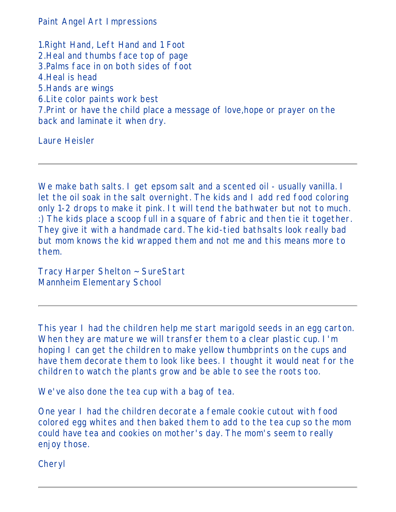Paint Angel Art Impressions

1.Right Hand, Left Hand and 1 Foot 2.Heal and thumbs face top of page 3.Palms face in on both sides of foot 4.Heal is head 5.Hands are wings 6.Lite color paints work best 7.Print or have the child place a message of love,hope or prayer on the back and laminate it when dry.

Laure Heisler

We make bath salts. I get epsom salt and a scented oil - usually vanilla. I let the oil soak in the salt overnight. The kids and I add red food coloring only 1-2 drops to make it pink. It will tend the bathwater but not to much. :) The kids place a scoop full in a square of fabric and then tie it together. They give it with a handmade card. The kid-tied bathsalts look really bad but mom knows the kid wrapped them and not me and this means more to them.

Tracy Harper Shelton ~ SureStart Mannheim Elementary School

This year I had the children help me start marigold seeds in an egg carton. When they are mature we will transfer them to a clear plastic cup. I'm hoping I can get the children to make yellow thumbprints on the cups and have them decorate them to look like bees. I thought it would neat for the children to watch the plants grow and be able to see the roots too.

We've also done the tea cup with a bag of tea.

One year I had the children decorate a female cookie cutout with food colored egg whites and then baked them to add to the tea cup so the mom could have tea and cookies on mother's day. The mom's seem to really enjoy those.

Cheryl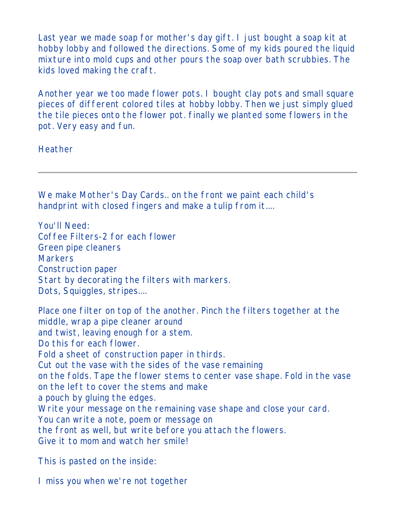Last year we made soap for mother's day gift. I just bought a soap kit at hobby lobby and followed the directions. Some of my kids poured the liquid mixture into mold cups and other pours the soap over bath scrubbies. The kids loved making the craft.

Another year we too made flower pots. I bought clay pots and small square pieces of different colored tiles at hobby lobby. Then we just simply glued the tile pieces onto the flower pot. finally we planted some flowers in the pot. Very easy and fun.

Heather

We make Mother's Day Cards.. on the front we paint each child's handprint with closed fingers and make a tulip from it....

You'll Need: Coffee Filters-2 for each flower Green pipe cleaners Markers Construction paper Start by decorating the filters with markers. Dots, Squiggles, stripes....

Place one filter on top of the another. Pinch the filters together at the middle, wrap a pipe cleaner around and twist, leaving enough for a stem. Do this for each flower. Fold a sheet of construction paper in thirds. Cut out the vase with the sides of the vase remaining on the folds. Tape the flower stems to center vase shape. Fold in the vase on the left to cover the stems and make a pouch by gluing the edges. Write your message on the remaining vase shape and close your card. You can write a note, poem or message on the front as well, but write before you attach the flowers. Give it to mom and watch her smile!

This is pasted on the inside:

I miss you when we're not together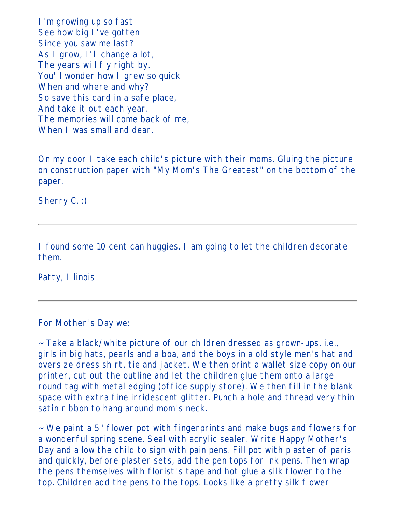I'm growing up so fast See how big I've gotten Since you saw me last? As I grow, I'll change a lot, The years will fly right by. You'll wonder how I grew so quick When and where and why? So save this card in a safe place, And take it out each year. The memories will come back of me, When I was small and dear.

On my door I take each child's picture with their moms. Gluing the picture on construction paper with "My Mom's The Greatest" on the bottom of the paper.

Sherry C. :)

I found some 10 cent can huggies. I am going to let the children decorate them.

Patty, Illinois

For Mother's Day we:

~ Take a black/white picture of our children dressed as grown-ups, i.e., girls in big hats, pearls and a boa, and the boys in a old style men's hat and oversize dress shirt, tie and jacket. We then print a wallet size copy on our printer, cut out the outline and let the children glue them onto a large round tag with metal edging (office supply store). We then fill in the blank space with extra fine irridescent glitter. Punch a hole and thread very thin satin ribbon to hang around mom's neck.

~ We paint a 5" flower pot with fingerprints and make bugs and flowers for a wonderful spring scene. Seal with acrylic sealer. Write Happy Mother's Day and allow the child to sign with pain pens. Fill pot with plaster of paris and quickly, before plaster sets, add the pen tops for ink pens. Then wrap the pens themselves with florist's tape and hot glue a silk flower to the top. Children add the pens to the tops. Looks like a pretty silk flower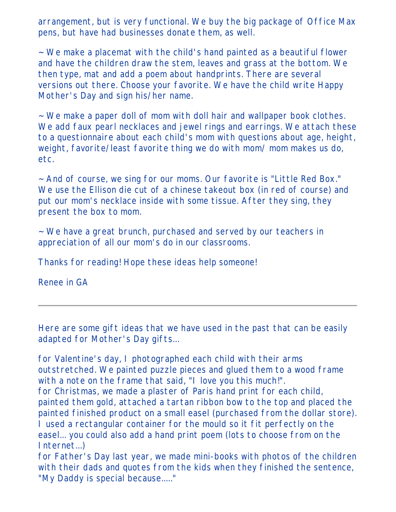arrangement, but is very functional. We buy the big package of Office Max pens, but have had businesses donate them, as well.

~ We make a placemat with the child's hand painted as a beautiful flower and have the children draw the stem, leaves and grass at the bottom. We then type, mat and add a poem about handprints. There are several versions out there. Choose your favorite. We have the child write Happy Mother's Day and sign his/her name.

 $\sim$  We make a paper doll of mom with doll hair and wallpaper book clothes. We add faux pearl necklaces and jewel rings and earrings. We attach these to a questionnaire about each child's mom with questions about age, height, weight, favorite/least favorite thing we do with mom/ mom makes us do, etc.

~ And of course, we sing for our moms. Our favorite is "Little Red Box." We use the Ellison die cut of a chinese takeout box (in red of course) and put our mom's necklace inside with some tissue. After they sing, they present the box to mom.

~ We have a great brunch, purchased and served by our teachers in appreciation of all our mom's do in our classrooms.

Thanks for reading! Hope these ideas help someone!

Renee in GA

Here are some gift ideas that we have used in the past that can be easily adapted for Mother's Day gifts...

for Valentine's day, I photographed each child with their arms outstretched. We painted puzzle pieces and glued them to a wood frame with a note on the frame that said, "I love you this much!". for Christmas, we made a plaster of Paris hand print for each child, painted them gold, attached a tartan ribbon bow to the top and placed the painted finished product on a small easel (purchased from the dollar store). I used a rectangular container for the mould so it fit perfectly on the easel... you could also add a hand print poem (lots to choose from on the Internet...)

for Father's Day last year, we made mini-books with photos of the children with their dads and quotes from the kids when they finished the sentence, "My Daddy is special because....."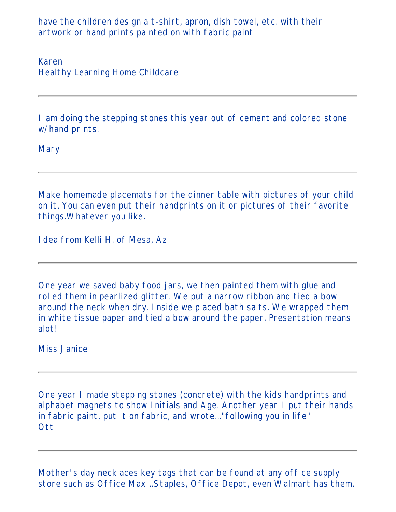have the children design a t-shirt, apron, dish towel, etc. with their artwork or hand prints painted on with fabric paint

Karen Healthy Learning Home Childcare

I am doing the stepping stones this year out of cement and colored stone w/hand prints.

**Mary** 

Make homemade placemats for the dinner table with pictures of your child on it. You can even put their handprints on it or pictures of their favorite things.Whatever you like.

Idea from Kelli H. of Mesa, Az

One year we saved baby food jars, we then painted them with glue and rolled them in pearlized glitter. We put a narrow ribbon and tied a bow around the neck when dry. Inside we placed bath salts. We wrapped them in white tissue paper and tied a bow around the paper. Presentation means alot!

Miss Janice

One year I made stepping stones (concrete) with the kids handprints and alphabet magnets to show Initials and Age. Another year I put their hands in fabric paint, put it on fabric, and wrote..."following you in life" **Ott** 

Mother's day necklaces key tags that can be found at any office supply store such as Office Max ..Staples, Office Depot, even Walmart has them.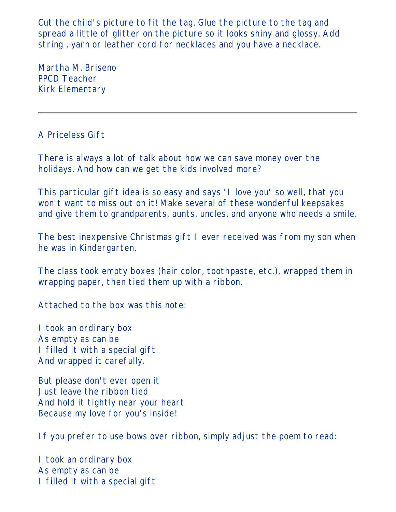Cut the child's picture to fit the tag. Glue the picture to the tag and spread a little of glitter on the picture so it looks shiny and glossy. Add string , yarn or leather cord for necklaces and you have a necklace.

Martha M. Briseno PPCD Teacher Kirk Elementary

A Priceless Gift

There is always a lot of talk about how we can save money over the holidays. And how can we get the kids involved more?

This particular gift idea is so easy and says "I love you" so well, that you won't want to miss out on it! Make several of these wonderful keepsakes and give them to grandparents, aunts, uncles, and anyone who needs a smile.

The best inexpensive Christmas gift I ever received was from my son when he was in Kindergarten.

The class took empty boxes (hair color, toothpaste, etc.), wrapped them in wrapping paper, then tied them up with a ribbon.

Attached to the box was this note:

I took an ordinary box As empty as can be I filled it with a special gift And wrapped it carefully.

But please don't ever open it Just leave the ribbon tied And hold it tightly near your heart Because my love for you's inside!

If you prefer to use bows over ribbon, simply adjust the poem to read:

I took an ordinary box As empty as can be I filled it with a special gift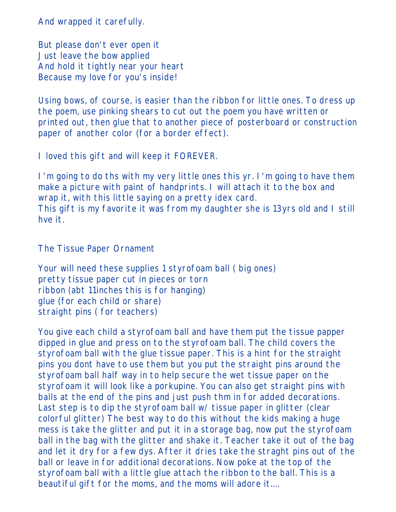And wrapped it carefully.

But please don't ever open it Just leave the bow applied And hold it tightly near your heart Because my love for you's inside!

Using bows, of course, is easier than the ribbon for little ones. To dress up the poem, use pinking shears to cut out the poem you have written or printed out, then glue that to another piece of posterboard or construction paper of another color (for a border effect).

I loved this gift and will keep it FOREVER.

I'm going to do ths with my very little ones this yr. I'm going to have them make a picture with paint of handprints. I will attach it to the box and wrap it, with this little saying on a pretty idex card. This gift is my favorite it was from my daughter she is 13yrs old and I still hve it.

The Tissue Paper Ornament

Your will need these supplies 1 styrofoam ball ( big ones) pretty tissue paper cut in pieces or torn ribbon (abt 11inches this is for hanging) glue (for each child or share) straight pins ( for teachers)

You give each child a styrofoam ball and have them put the tissue papper dipped in glue and press on to the styrofoam ball. The child covers the styrofoam ball with the glue tissue paper. This is a hint for the straight pins you dont have to use them but you put the straight pins around the styrofoam ball half way in to help secure the wet tissue paper on the styrofoam it will look like a porkupine. You can also get straight pins with balls at the end of the pins and just push thm in for added decorations. Last step is to dip the styrofoam ball w/ tissue paper in glitter (clear colorful glitter) The best way to do this without the kids making a huge mess is take the glitter and put it in a storage bag, now put the styrofoam ball in the bag with the glitter and shake it. Teacher take it out of the bag and let it dry for a few dys. After it dries take the straght pins out of the ball or leave in for additional decorations. Now poke at the top of the styrofoam ball with a little glue attach the ribbon to the ball. This is a beautiful gift for the moms, and the moms will adore it....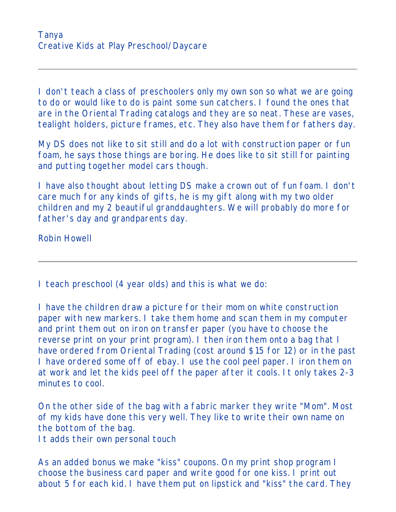I don't teach a class of preschoolers only my own son so what we are going to do or would like to do is paint some sun catchers. I found the ones that are in the Oriental Trading catalogs and they are so neat. These are vases, tealight holders, picture frames, etc. They also have them for fathers day.

My DS does not like to sit still and do a lot with construction paper or fun foam, he says those things are boring. He does like to sit still for painting and putting together model cars though.

I have also thought about letting DS make a crown out of fun foam. I don't care much for any kinds of gifts, he is my gift along with my two older children and my 2 beautiful granddaughters. We will probably do more for father's day and grandparents day.

Robin Howell

I teach preschool (4 year olds) and this is what we do:

I have the children draw a picture for their mom on white construction paper with new markers. I take them home and scan them in my computer and print them out on iron on transfer paper (you have to choose the reverse print on your print program). I then iron them onto a bag that I have ordered from Oriental Trading (cost around \$15 for 12) or in the past I have ordered some off of ebay. I use the cool peel paper. I iron them on at work and let the kids peel off the paper after it cools. It only takes 2-3 minutes to cool.

On the other side of the bag with a fabric marker they write "Mom". Most of my kids have done this very well. They like to write their own name on the bottom of the bag.

It adds their own personal touch

As an added bonus we make "kiss" coupons. On my print shop program I choose the business card paper and write good for one kiss. I print out about 5 for each kid. I have them put on lipstick and "kiss" the card. They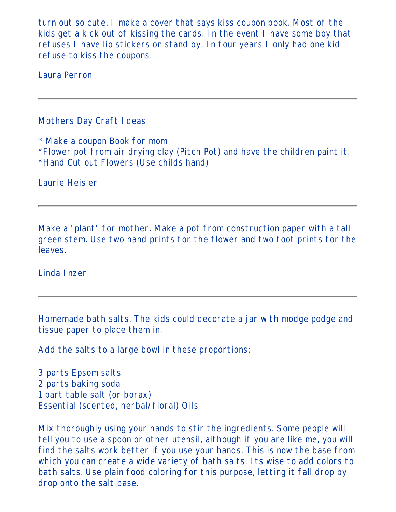turn out so cute. I make a cover that says kiss coupon book. Most of the kids get a kick out of kissing the cards. In the event I have some boy that refuses I have lip stickers on stand by. In four years I only had one kid refuse to kiss the coupons.

Laura Perron

## Mothers Day Craft Ideas

\* Make a coupon Book for mom \*Flower pot from air drying clay (Pitch Pot) and have the children paint it. \*Hand Cut out Flowers (Use childs hand)

Laurie Heisler

Make a "plant" for mother. Make a pot from construction paper with a tall green stem. Use two hand prints for the flower and two foot prints for the leaves.

Linda Inzer

Homemade bath salts. The kids could decorate a jar with modge podge and tissue paper to place them in.

Add the salts to a large bowl in these proportions:

3 parts Epsom salts 2 parts baking soda 1 part table salt (or borax) Essential (scented, herbal/floral) Oils

Mix thoroughly using your hands to stir the ingredients. Some people will tell you to use a spoon or other utensil, although if you are like me, you will find the salts work better if you use your hands. This is now the base from which you can create a wide variety of bath salts. Its wise to add colors to bath salts. Use plain food coloring for this purpose, letting it fall drop by drop onto the salt base.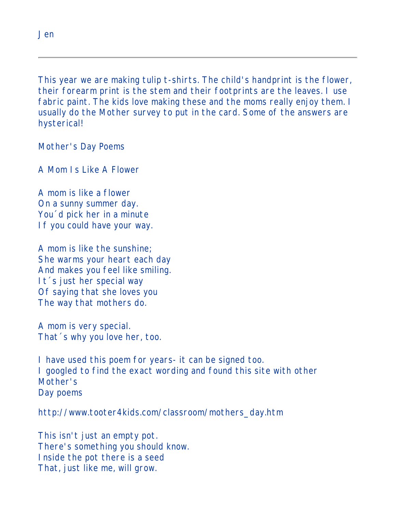This year we are making tulip t-shirts. The child's handprint is the flower, their forearm print is the stem and their footprints are the leaves. I use fabric paint. The kids love making these and the moms really enjoy them. I usually do the Mother survey to put in the card. Some of the answers are hysterical!

Mother's Day Poems

A Mom Is Like A Flower

A mom is like a flower On a sunny summer day. You´d pick her in a minute If you could have your way.

A mom is like the sunshine; She warms your heart each day And makes you feel like smiling. It´s just her special way Of saying that she loves you The way that mothers do.

A mom is very special. That´s why you love her, too.

I have used this poem for years- it can be signed too. I googled to find the exact wording and found this site with other Mother's Day poems

http://www.tooter4kids.com/classroom/mothers\_day.htm

This isn't just an empty pot. There's something you should know. Inside the pot there is a seed That, just like me, will grow.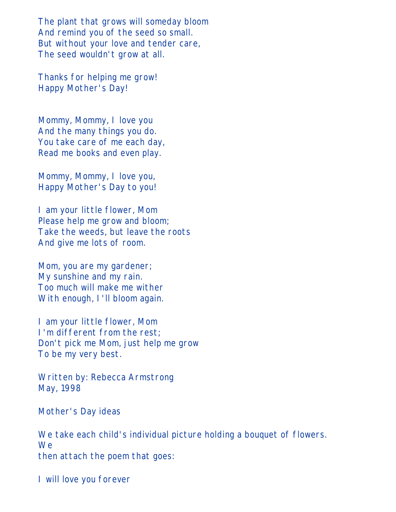The plant that grows will someday bloom And remind you of the seed so small. But without your love and tender care, The seed wouldn't grow at all.

Thanks for helping me grow! Happy Mother's Day!

Mommy, Mommy, I love you And the many things you do. You take care of me each day, Read me books and even play.

Mommy, Mommy, I love you, Happy Mother's Day to you!

I am your little flower, Mom Please help me grow and bloom; Take the weeds, but leave the roots And give me lots of room.

Mom, you are my gardener; My sunshine and my rain. Too much will make me wither With enough, I'll bloom again.

I am your little flower, Mom I'm different from the rest; Don't pick me Mom, just help me grow To be my very best.

Written by: Rebecca Armstrong May, 1998

#### Mother's Day ideas

We take each child's individual picture holding a bouquet of flowers. We then attach the poem that goes:

I will love you forever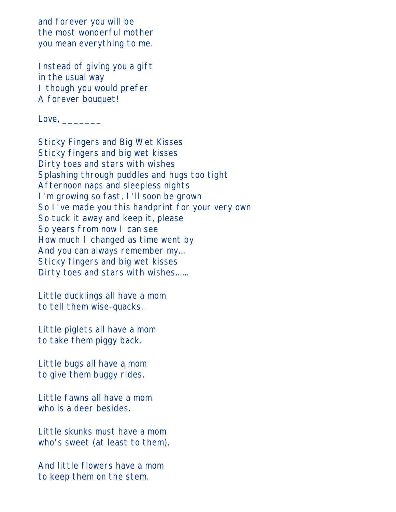and forever you will be the most wonderful mother you mean everything to me.

Instead of giving you a gift in the usual way I though you would prefer A forever bouquet!

Love, \_\_\_\_\_\_\_

Sticky Fingers and Big Wet Kisses Sticky fingers and big wet kisses Dirty toes and stars with wishes Splashing through puddles and hugs too tight Afternoon naps and sleepless nights I'm growing so fast, I'll soon be grown So I've made you this handprint for your very own So tuck it away and keep it, please So years from now I can see How much I changed as time went by And you can always remember my... Sticky fingers and big wet kisses Dirty toes and stars with wishes......

Little ducklings all have a mom to tell them wise-quacks.

Little piglets all have a mom to take them piggy back.

Little bugs all have a mom to give them buggy rides.

Little fawns all have a mom who is a deer besides.

Little skunks must have a mom who's sweet (at least to them).

And little flowers have a mom to keep them on the stem.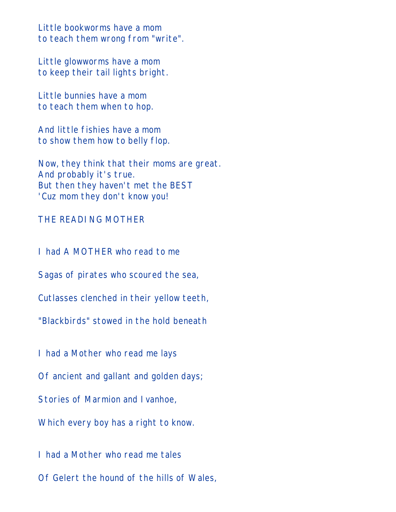Little bookworms have a mom to teach them wrong from "write".

Little glowworms have a mom to keep their tail lights bright.

Little bunnies have a mom to teach them when to hop.

And little fishies have a mom to show them how to belly flop.

Now, they think that their moms are great. And probably it's true. But then they haven't met the BEST 'Cuz mom they don't know you!

## THE READING MOTHER

I had A MOTHER who read to me

Sagas of pirates who scoured the sea,

Cutlasses clenched in their yellow teeth,

"Blackbirds" stowed in the hold beneath

I had a Mother who read me lays

Of ancient and gallant and golden days;

Stories of Marmion and Ivanhoe,

Which every boy has a right to know.

I had a Mother who read me tales Of Gelert the hound of the hills of Wales,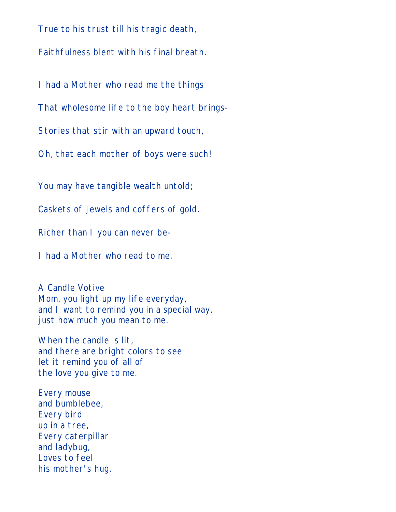True to his trust till his tragic death, Faithfulness blent with his final breath.

I had a Mother who read me the things

That wholesome life to the boy heart brings-

Stories that stir with an upward touch,

Oh, that each mother of boys were such!

You may have tangible wealth untold;

Caskets of jewels and coffers of gold.

Richer than I you can never be-

I had a Mother who read to me.

A Candle Votive Mom, you light up my life everyday, and I want to remind you in a special way, just how much you mean to me.

When the candle is lit, and there are bright colors to see let it remind you of all of the love you give to me.

Every mouse and bumblebee, Every bird up in a tree, Every caterpillar and ladybug, Loves to feel his mother's hug.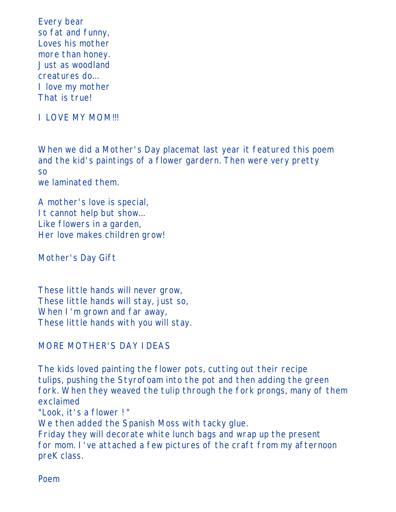Every bear so fat and funny, Loves his mother more than honey. Just as woodland creatures do... I love my mother That is true!

I LOVE MY MOM!!!

When we did a Mother's Day placemat last year it featured this poem and the kid's paintings of a flower gardern. Then were very pretty so we laminated them.

A mother's love is special, It cannot help but show... Like flowers in a garden, Her love makes children grow!

Mother's Day Gift

These little hands will never grow, These little hands will stay, just so, When I'm grown and far away, These little hands with you will stay.

# MORE MOTHER'S DAY IDEAS

The kids loved painting the flower pots, cutting out their recipe tulips, pushing the Styrofoam into the pot and then adding the green fork. When they weaved the tulip through the fork prongs, many of them exclaimed "Look, it's a flower ! " We then added the Spanish Moss with tacky glue. Friday they will decorate white lunch bags and wrap up the present for mom. I've attached a few pictures of the craft from my afternoon preK class.

Poem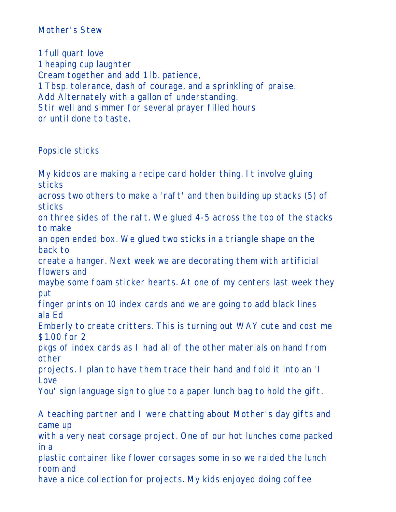# Mother's Stew

1 full quart love 1 heaping cup laughter Cream together and add 1 lb. patience, 1 Tbsp. tolerance, dash of courage, and a sprinkling of praise. Add Alternately with a gallon of understanding. Stir well and simmer for several prayer filled hours or until done to taste.

#### Popsicle sticks

My kiddos are making a recipe card holder thing. It involve gluing sticks across two others to make a 'raft' and then building up stacks (5) of sticks on three sides of the raft. We glued 4-5 across the top of the stacks to make an open ended box. We glued two sticks in a triangle shape on the back to create a hanger. Next week we are decorating them with artificial flowers and maybe some foam sticker hearts. At one of my centers last week they put finger prints on 10 index cards and we are going to add black lines ala Ed Emberly to create critters. This is turning out WAY cute and cost me \$1.00 for 2 pkgs of index cards as I had all of the other materials on hand from other projects. I plan to have them trace their hand and fold it into an 'I Love You' sign language sign to glue to a paper lunch bag to hold the gift. A teaching partner and I were chatting about Mother's day gifts and came up with a very neat corsage project. One of our hot lunches come packed in a plastic container like flower corsages some in so we raided the lunch room and have a nice collection for projects. My kids enjoyed doing coffee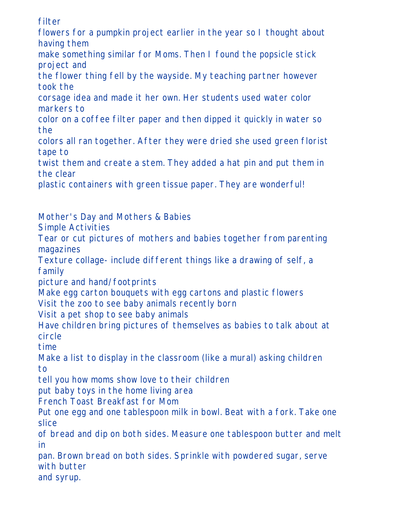filter flowers for a pumpkin project earlier in the year so I thought about having them make something similar for Moms. Then I found the popsicle stick project and the flower thing fell by the wayside. My teaching partner however took the corsage idea and made it her own. Her students used water color markers to color on a coffee filter paper and then dipped it quickly in water so the colors all ran together. After they were dried she used green florist tape to twist them and create a stem. They added a hat pin and put them in the clear plastic containers with green tissue paper. They are wonderful! Mother's Day and Mothers & Babies Simple Activities Tear or cut pictures of mothers and babies together from parenting magazines Texture collage- include different things like a drawing of self, a family picture and hand/footprints Make egg carton bouquets with egg cartons and plastic flowers Visit the zoo to see baby animals recently born Visit a pet shop to see baby animals Have children bring pictures of themselves as babies to talk about at

circle

time

Make a list to display in the classroom (like a mural) asking children to

tell you how moms show love to their children

put baby toys in the home living area

French Toast Breakfast for Mom

Put one egg and one tablespoon milk in bowl. Beat with a fork. Take one slice

of bread and dip on both sides. Measure one tablespoon butter and melt in

pan. Brown bread on both sides. Sprinkle with powdered sugar, serve with butter

and syrup.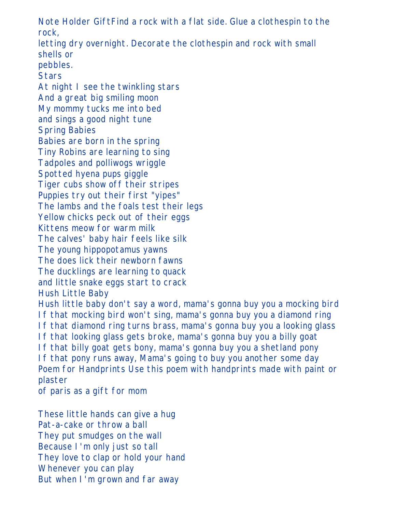Note Holder GiftFind a rock with a flat side. Glue a clothespin to the rock, letting dry overnight. Decorate the clothespin and rock with small shells or pebbles. **Stars** At night I see the twinkling stars And a great big smiling moon My mommy tucks me into bed and sings a good night tune Spring Babies Babies are born in the spring Tiny Robins are learning to sing Tadpoles and polliwogs wriggle Spotted hyena pups giggle Tiger cubs show off their stripes Puppies try out their first "yipes" The lambs and the foals test their legs Yellow chicks peck out of their eggs Kittens meow for warm milk The calves' baby hair feels like silk The young hippopotamus yawns The does lick their newborn fawns The ducklings are learning to quack and little snake eggs start to crack Hush Little Baby Hush little baby don't say a word, mama's gonna buy you a mocking bird If that mocking bird won't sing, mama's gonna buy you a diamond ring If that diamond ring turns brass, mama's gonna buy you a looking glass If that looking glass gets broke, mama's gonna buy you a billy goat If that billy goat gets bony, mama's gonna buy you a shetland pony If that pony runs away, Mama's going to buy you another some day Poem for Handprints Use this poem with handprints made with paint or plaster

of paris as a gift for mom

These little hands can give a hug Pat-a-cake or throw a ball They put smudges on the wall Because I'm only just so tall They love to clap or hold your hand Whenever you can play But when I'm grown and far away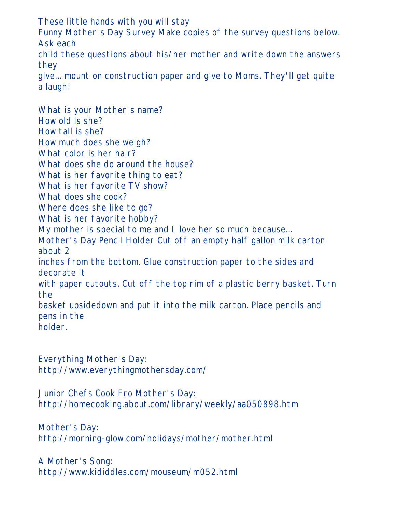These little hands with you will stay Funny Mother's Day Survey Make copies of the survey questions below. Ask each child these questions about his/her mother and write down the answers they give... mount on construction paper and give to Moms. They'll get quite a laugh!

What is your Mother's name? How old is she? How tall is she? How much does she weigh? What color is her hair? What does she do around the house? What is her favorite thing to eat? What is her favorite TV show? What does she cook? Where does she like to go? What is her favorite hobby? My mother is special to me and I love her so much because... Mother's Day Pencil Holder Cut off an empty half gallon milk carton about 2 inches from the bottom. Glue construction paper to the sides and decorate it with paper cutouts. Cut off the top rim of a plastic berry basket. Turn the basket upsidedown and put it into the milk carton. Place pencils and pens in the holder.

Everything Mother's Day: http://www.everythingmothersday.com/

Junior Chefs Cook Fro Mother's Day: http://homecooking.about.com/library/weekly/aa050898.htm

Mother's Day: http://morning-glow.com/holidays/mother/mother.html

A Mother's Song: http://www.kididdles.com/mouseum/m052.html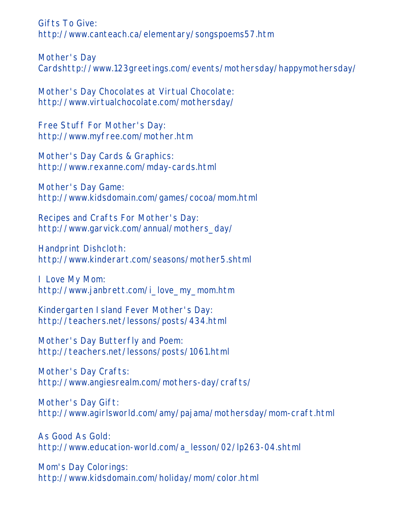Gifts To Give: http://www.canteach.ca/elementary/songspoems57.htm

Mother's Day Cardshttp://www.123greetings.com/events/mothersday/happymothersday/

Mother's Day Chocolates at Virtual Chocolate: http://www.virtualchocolate.com/mothersday/

Free Stuff For Mother's Day: http://www.myfree.com/mother.htm

Mother's Day Cards & Graphics: http://www.rexanne.com/mday-cards.html

Mother's Day Game: http://www.kidsdomain.com/games/cocoa/mom.html

Recipes and Crafts For Mother's Day: http://www.garvick.com/annual/mothers\_day/

Handprint Dishcloth: http://www.kinderart.com/seasons/mother5.shtml

I Love My Mom: http://www.janbrett.com/i\_love\_my\_mom.htm

Kindergarten Island Fever Mother's Day: http://teachers.net/lessons/posts/434.html

Mother's Day Butterfly and Poem: http://teachers.net/lessons/posts/1061.html

Mother's Day Crafts: http://www.angiesrealm.com/mothers-day/crafts/

Mother's Day Gift: http://www.agirlsworld.com/amy/pajama/mothersday/mom-craft.html

As Good As Gold: http://www.education-world.com/a\_lesson/02/lp263-04.shtml

Mom's Day Colorings: http://www.kidsdomain.com/holiday/mom/color.html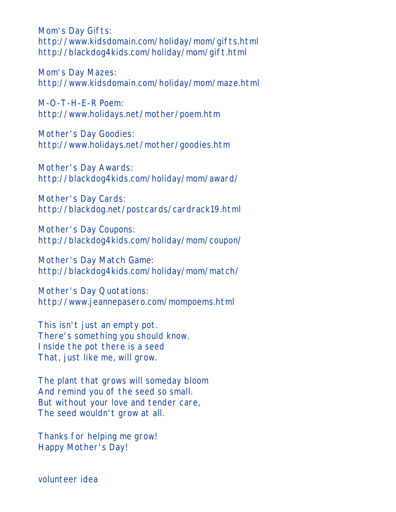Mom's Day Gifts: http://www.kidsdomain.com/holiday/mom/gifts.html http://blackdog4kids.com/holiday/mom/gift.html

Mom's Day Mazes: http://www.kidsdomain.com/holiday/mom/maze.html

M-O-T-H-E-R Poem: http://www.holidays.net/mother/poem.htm

Mother's Day Goodies: http://www.holidays.net/mother/goodies.htm

Mother's Day Awards: http://blackdog4kids.com/holiday/mom/award/

Mother's Day Cards: http://blackdog.net/postcards/cardrack19.html

Mother's Day Coupons: http://blackdog4kids.com/holiday/mom/coupon/

Mother's Day Match Game: http://blackdog4kids.com/holiday/mom/match/

Mother's Day Quotations: http://www.jeannepasero.com/mompoems.html

This isn't just an empty pot. There's something you should know. Inside the pot there is a seed That, just like me, will grow.

The plant that grows will someday bloom And remind you of the seed so small. But without your love and tender care, The seed wouldn't grow at all.

Thanks for helping me grow! Happy Mother's Day!

volunteer idea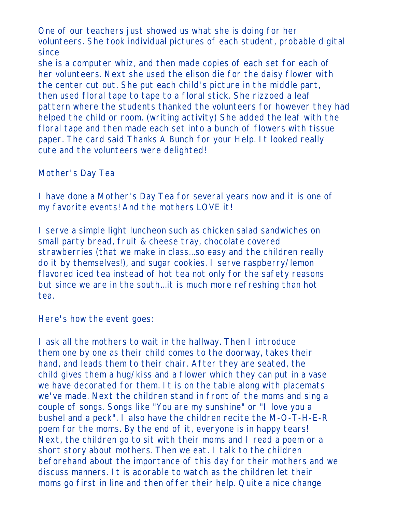One of our teachers just showed us what she is doing for her volunteers. She took individual pictures of each student, probable digital since

she is a computer whiz, and then made copies of each set for each of her volunteers. Next she used the elison die for the daisy flower with the center cut out. She put each child's picture in the middle part, then used floral tape to tape to a floral stick. She rizzoed a leaf pattern where the students thanked the volunteers for however they had helped the child or room. (writing activity) She added the leaf with the floral tape and then made each set into a bunch of flowers with tissue paper. The card said Thanks A Bunch for your Help. It looked really cute and the volunteers were delighted!

Mother's Day Tea

I have done a Mother's Day Tea for several years now and it is one of my favorite events! And the mothers LOVE it!

I serve a simple light luncheon such as chicken salad sandwiches on small party bread, fruit & cheese tray, chocolate covered strawberries (that we make in class...so easy and the children really do it by themselves!), and sugar cookies. I serve raspberry/lemon flavored iced tea instead of hot tea not only for the safety reasons but since we are in the south...it is much more refreshing than hot tea.

Here's how the event goes:

I ask all the mothers to wait in the hallway. Then I introduce them one by one as their child comes to the doorway, takes their hand, and leads them to their chair. After they are seated, the child gives them a hug/kiss and a flower which they can put in a vase we have decorated for them. It is on the table along with placemats we've made. Next the children stand in front of the moms and sing a couple of songs. Songs like "You are my sunshine" or "I love you a bushel and a peck". I also have the children recite the M-O-T-H-E-R poem for the moms. By the end of it, everyone is in happy tears! Next, the children go to sit with their moms and I read a poem or a short story about mothers. Then we eat. I talk to the children beforehand about the importance of this day for their mothers and we discuss manners. It is adorable to watch as the children let their moms go first in line and then offer their help. Quite a nice change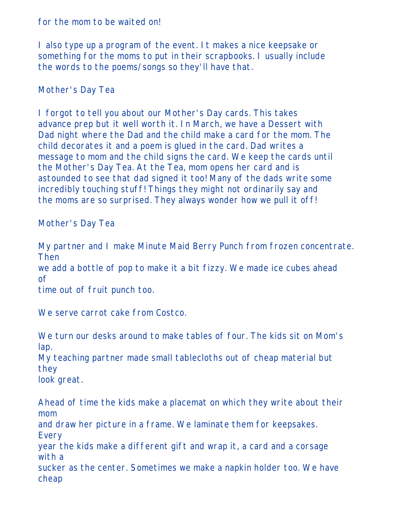for the mom to be waited on!

I also type up a program of the event. It makes a nice keepsake or something for the moms to put in their scrapbooks. I usually include the words to the poems/songs so they'll have that.

Mother's Day Tea

I forgot to tell you about our Mother's Day cards. This takes advance prep but it well worth it. In March, we have a Dessert with Dad night where the Dad and the child make a card for the mom. The child decorates it and a poem is glued in the card. Dad writes a message to mom and the child signs the card. We keep the cards until the Mother's Day Tea. At the Tea, mom opens her card and is astounded to see that dad signed it too! Many of the dads write some incredibly touching stuff! Things they might not ordinarily say and the moms are so surprised. They always wonder how we pull it off!

Mother's Day Tea

My partner and I make Minute Maid Berry Punch from frozen concentrate. Then we add a bottle of pop to make it a bit fizzy. We made ice cubes ahead of time out of fruit punch too.

We serve carrot cake from Costco.

We turn our desks around to make tables of four. The kids sit on Mom's lap.

My teaching partner made small tablecloths out of cheap material but they

look great.

Ahead of time the kids make a placemat on which they write about their mom and draw her picture in a frame. We laminate them for keepsakes. Every year the kids make a different gift and wrap it, a card and a corsage with a sucker as the center. Sometimes we make a napkin holder too. We have cheap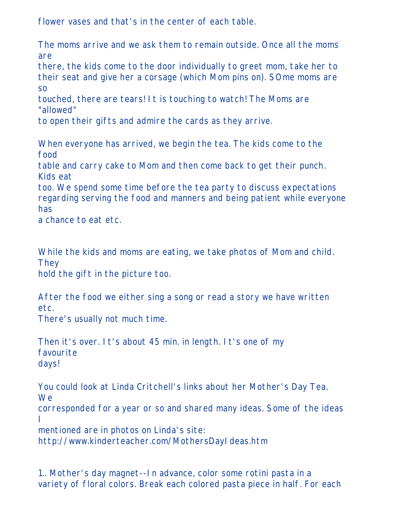flower vases and that's in the center of each table.

The moms arrive and we ask them to remain outside. Once all the moms are

there, the kids come to the door individually to greet mom, take her to their seat and give her a corsage (which Mom pins on). SOme moms are so

touched, there are tears! It is touching to watch! The Moms are "allowed"

to open their gifts and admire the cards as they arrive.

When everyone has arrived, we begin the tea. The kids come to the food

table and carry cake to Mom and then come back to get their punch. Kids eat

too. We spend some time before the tea party to discuss expectations regarding serving the food and manners and being patient while everyone has

a chance to eat etc.

While the kids and moms are eating, we take photos of Mom and child. **They** 

hold the gift in the picture too.

After the food we either sing a song or read a story we have written etc.

There's usually not much time.

Then it's over. It's about 45 min. in length. It's one of my favourite days!

You could look at Linda Critchell's links about her Mother's Day Tea. We

corresponded for a year or so and shared many ideas. Some of the ideas I

mentioned are in photos on Linda's site:

http://www.kinderteacher.com/MothersDayIdeas.htm

1.. Mother's day magnet--In advance, color some rotini pasta in a variety of floral colors. Break each colored pasta piece in half. For each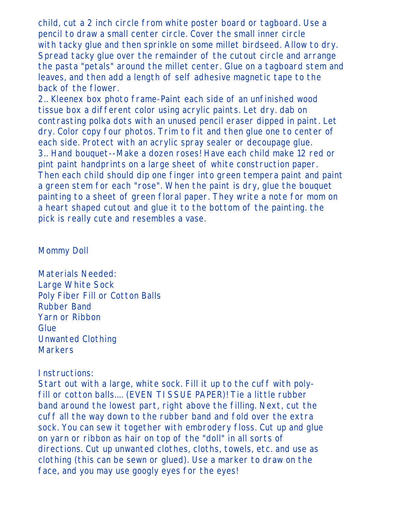child, cut a 2 inch circle from white poster board or tagboard. Use a pencil to draw a small center circle. Cover the small inner circle with tacky glue and then sprinkle on some millet birdseed. Allow to dry. Spread tacky glue over the remainder of the cutout circle and arrange the pasta "petals" around the millet center. Glue on a tagboard stem and leaves, and then add a length of self adhesive magnetic tape to the back of the flower.

2.. Kleenex box photo frame-Paint each side of an unfinished wood tissue box a different color using acrylic paints. Let dry. dab on contrasting polka dots with an unused pencil eraser dipped in paint. Let dry. Color copy four photos. Trim to fit and then glue one to center of each side. Protect with an acrylic spray sealer or decoupage glue. 3.. Hand bouquet--Make a dozen roses! Have each child make 12 red or pint paint handprints on a large sheet of white construction paper. Then each child should dip one finger into green tempera paint and paint a green stem for each "rose". When the paint is dry, glue the bouquet painting to a sheet of green floral paper. They write a note for mom on a heart shaped cutout and glue it to the bottom of the painting. the pick is really cute and resembles a vase.

#### Mommy Doll

Materials Needed: Large White Sock Poly Fiber Fill or Cotton Balls Rubber Band Yarn or Ribbon **Glue** Unwanted Clothing **Markers** 

## Instructions:

Start out with a large, white sock. Fill it up to the cuff with polyfill or cotton balls.... (EVEN TISSUE PAPER)! Tie a little rubber band around the lowest part, right above the filling. Next, cut the cuff all the way down to the rubber band and fold over the extra sock. You can sew it together with embrodery floss. Cut up and glue on yarn or ribbon as hair on top of the "doll" in all sorts of directions. Cut up unwanted clothes, cloths, towels, etc. and use as clothing (this can be sewn or glued). Use a marker to draw on the face, and you may use googly eyes for the eyes!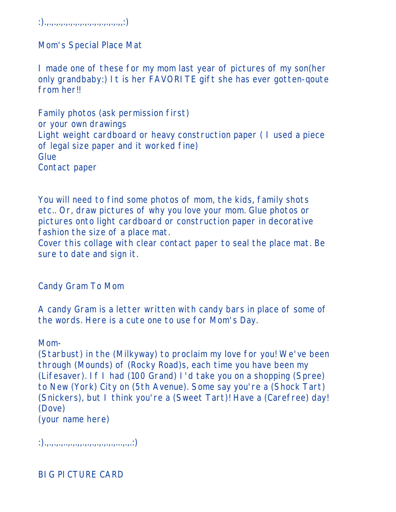:).,.,.,.,.,.,.,.,.,.,.,.,.,.,.,.,,:)

Mom's Special Place Mat

I made one of these for my mom last year of pictures of my son(her only grandbaby:) It is her FAVORITE gift she has ever gotten-qoute from her!!

Family photos (ask permission first) or your own drawings Light weight cardboard or heavy construction paper ( I used a piece of legal size paper and it worked fine) **Glue** Contact paper

You will need to find some photos of mom, the kids, family shots etc.. Or, draw pictures of why you love your mom. Glue photos or pictures onto light cardboard or construction paper in decorative fashion the size of a place mat.

Cover this collage with clear contact paper to seal the place mat. Be sure to date and sign it.

Candy Gram To Mom

A candy Gram is a letter written with candy bars in place of some of the words. Here is a cute one to use for Mom's Day.

Mom-

(Starbust) in the (Milkyway) to proclaim my love for you! We've been through (Mounds) of (Rocky Road)s, each time you have been my (Lifesaver). If I had (100 Grand) I'd take you on a shopping (Spree) to New (York) City on (5th Avenue). Some say you're a (Shock Tart) (Snickers), but I think you're a (Sweet Tart)! Have a (Carefree) day! (Dove)

(your name here)

 $:),\ldots,.,\ldots,.,\ldots,.,\ldots,.,\ldots,..,..)\}$ 

BIG PICTURE CARD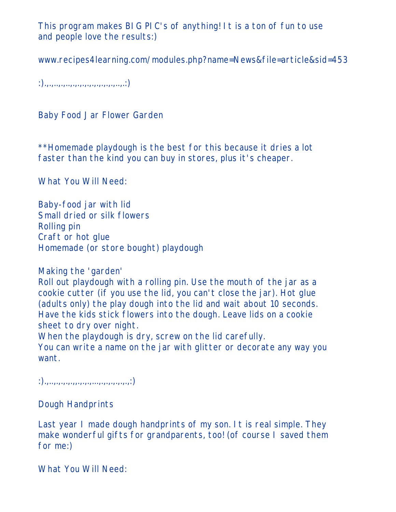This program makes BIG PIC's of anything! It is a ton of fun to use and people love the results:)

www.recipes4learning.com/modules.php?name=News&file=article&sid=453

 $:),\ldots, \ldots, \ldots, \ldots, \ldots, \ldots, \ldots, \ldots, \ldots, \ldots)$ 

Baby Food Jar Flower Garden

\*\*Homemade playdough is the best for this because it dries a lot faster than the kind you can buy in stores, plus it's cheaper.

What You Will Need:

Baby-food jar with lid Small dried or silk flowers Rolling pin Craft or hot glue Homemade (or store bought) playdough

Making the 'garden'

Roll out playdough with a rolling pin. Use the mouth of the jar as a cookie cutter (if you use the lid, you can't close the jar). Hot glue (adults only) the play dough into the lid and wait about 10 seconds. Have the kids stick flowers into the dough. Leave lids on a cookie sheet to dry over night.

When the playdough is dry, screw on the lid carefully.

You can write a name on the jar with glitter or decorate any way you want.

 $:),...,...,...,...,...,...,...,...,...,...;$ 

Dough Handprints

Last year I made dough handprints of my son. It is real simple. They make wonderful gifts for grandparents, too! (of course I saved them for me:)

What You Will Need: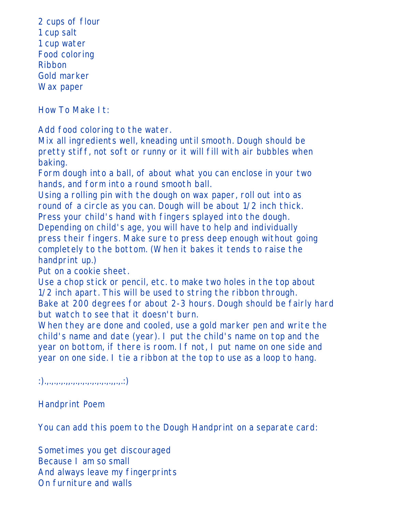2 cups of flour 1 cup salt 1 cup water Food coloring Ribbon Gold marker Wax paper

How To Make It:

Add food coloring to the water.

Mix all ingredients well, kneading until smooth. Dough should be pretty stiff, not soft or runny or it will fill with air bubbles when baking.

Form dough into a ball, of about what you can enclose in your two hands, and form into a round smooth ball.

Using a rolling pin with the dough on wax paper, roll out into as round of a circle as you can. Dough will be about 1/2 inch thick. Press your child's hand with fingers splayed into the dough. Depending on child's age, you will have to help and individually press their fingers. Make sure to press deep enough without going completely to the bottom. (When it bakes it tends to raise the handprint up.)

Put on a cookie sheet.

Use a chop stick or pencil, etc. to make two holes in the top about 1/2 inch apart. This will be used to string the ribbon through. Bake at 200 degrees for about 2-3 hours. Dough should be fairly hard but watch to see that it doesn't burn.

When they are done and cooled, use a gold marker pen and write the child's name and date (year). I put the child's name on top and the year on bottom, if there is room. If not, I put name on one side and year on one side. I tie a ribbon at the top to use as a loop to hang.

 $:),\ldots, \ldots, \ldots, \ldots, \ldots, \ldots, \ldots, \ldots, \ldots)$ 

Handprint Poem

You can add this poem to the Dough Handprint on a separate card:

Sometimes you get discouraged Because I am so small And always leave my fingerprints On furniture and walls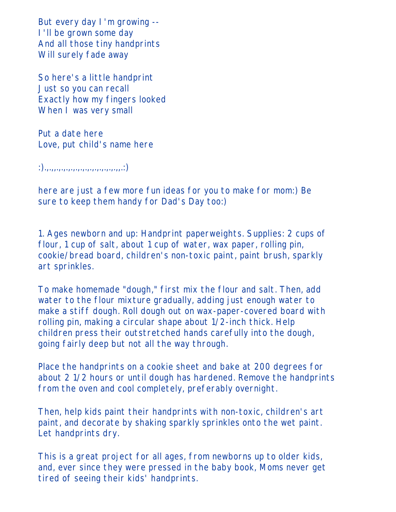But every day I'm growing -- I'll be grown some day And all those tiny handprints Will surely fade away

So here's a little handprint Just so you can recall Exactly how my fingers looked When I was very small

Put a date here Love, put child's name here

:).,.,,.,.,.,.,.,.,.,.,.,.,.,.,.,,.:)

here are just a few more fun ideas for you to make for mom:) Be sure to keep them handy for Dad's Day too:)

1. Ages newborn and up: Handprint paperweights. Supplies: 2 cups of flour, 1 cup of salt, about 1 cup of water, wax paper, rolling pin, cookie/bread board, children's non-toxic paint, paint brush, sparkly art sprinkles.

To make homemade "dough," first mix the flour and salt. Then, add water to the flour mixture gradually, adding just enough water to make a stiff dough. Roll dough out on wax-paper-covered board with rolling pin, making a circular shape about 1/2-inch thick. Help children press their outstretched hands carefully into the dough, going fairly deep but not all the way through.

Place the handprints on a cookie sheet and bake at 200 degrees for about 2 1/2 hours or until dough has hardened. Remove the handprints from the oven and cool completely, preferably overnight.

Then, help kids paint their handprints with non-toxic, children's art paint, and decorate by shaking sparkly sprinkles onto the wet paint. Let handprints dry.

This is a great project for all ages, from newborns up to older kids, and, ever since they were pressed in the baby book, Moms never get tired of seeing their kids' handprints.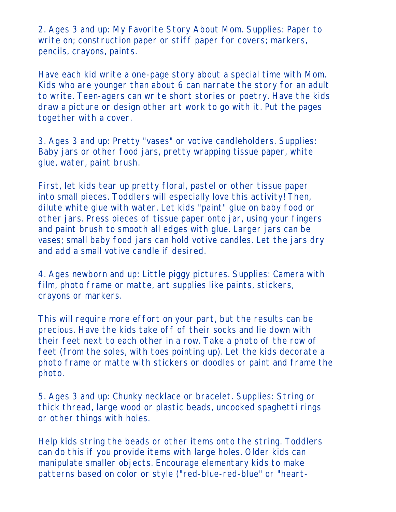2. Ages 3 and up: My Favorite Story About Mom. Supplies: Paper to write on; construction paper or stiff paper for covers; markers, pencils, crayons, paints.

Have each kid write a one-page story about a special time with Mom. Kids who are younger than about 6 can narrate the story for an adult to write. Teen-agers can write short stories or poetry. Have the kids draw a picture or design other art work to go with it. Put the pages together with a cover.

3. Ages 3 and up: Pretty "vases" or votive candleholders. Supplies: Baby jars or other food jars, pretty wrapping tissue paper, white glue, water, paint brush.

First, let kids tear up pretty floral, pastel or other tissue paper into small pieces. Toddlers will especially love this activity! Then, dilute white glue with water. Let kids "paint" glue on baby food or other jars. Press pieces of tissue paper onto jar, using your fingers and paint brush to smooth all edges with glue. Larger jars can be vases; small baby food jars can hold votive candles. Let the jars dry and add a small votive candle if desired.

4. Ages newborn and up: Little piggy pictures. Supplies: Camera with film, photo frame or matte, art supplies like paints, stickers, crayons or markers.

This will require more effort on your part, but the results can be precious. Have the kids take off of their socks and lie down with their feet next to each other in a row. Take a photo of the row of feet (from the soles, with toes pointing up). Let the kids decorate a photo frame or matte with stickers or doodles or paint and frame the photo.

5. Ages 3 and up: Chunky necklace or bracelet. Supplies: String or thick thread, large wood or plastic beads, uncooked spaghetti rings or other things with holes.

Help kids string the beads or other items onto the string. Toddlers can do this if you provide items with large holes. Older kids can manipulate smaller objects. Encourage elementary kids to make patterns based on color or style ("red-blue-red-blue" or "heart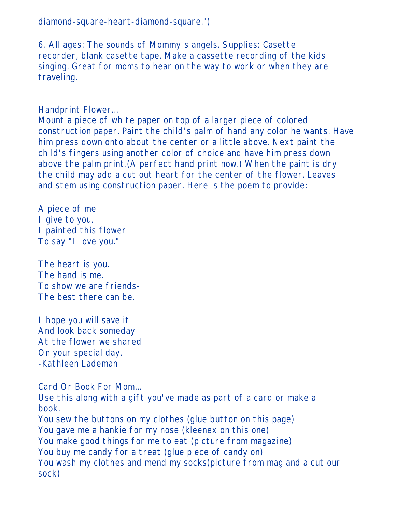diamond-square-heart-diamond-square.")

6. All ages: The sounds of Mommy's angels. Supplies: Casette recorder, blank casette tape. Make a cassette recording of the kids singing. Great for moms to hear on the way to work or when they are traveling.

Handprint Flower...

Mount a piece of white paper on top of a larger piece of colored construction paper. Paint the child's palm of hand any color he wants. Have him press down onto about the center or a little above. Next paint the child's fingers using another color of choice and have him press down above the palm print.(A perfect hand print now.) When the paint is dry the child may add a cut out heart for the center of the flower. Leaves and stem using construction paper. Here is the poem to provide:

A piece of me I give to you. I painted this flower To say "I love you."

The heart is you. The hand is me. To show we are friends-The best there can be.

I hope you will save it And look back someday At the flower we shared On your special day. -Kathleen Lademan

Card Or Book For Mom... Use this along with a gift you've made as part of a card or make a book. You sew the buttons on my clothes (glue button on this page) You gave me a hankie for my nose (kleenex on this one) You make good things for me to eat (picture from magazine) You buy me candy for a treat (glue piece of candy on) You wash my clothes and mend my socks(picture from mag and a cut our sock)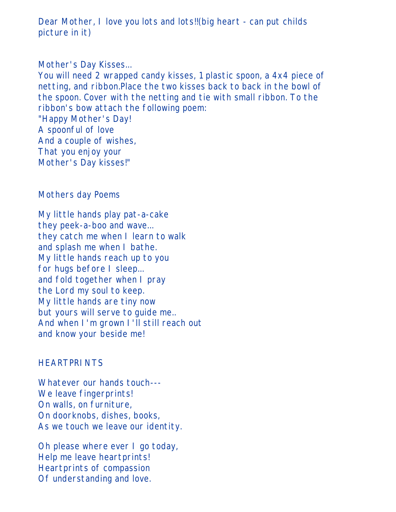Dear Mother, I love you lots and lots!!(big heart - can put childs picture in it)

#### Mother's Day Kisses...

You will need 2 wrapped candy kisses, 1 plastic spoon, a 4x4 piece of netting, and ribbon.Place the two kisses back to back in the bowl of the spoon. Cover with the netting and tie with small ribbon. To the ribbon's bow attach the following poem: "Happy Mother's Day! A spoonful of love And a couple of wishes, That you enjoy your Mother's Day kisses!"

#### Mothers day Poems

My little hands play pat-a-cake they peek-a-boo and wave... they catch me when I learn to walk and splash me when I bathe. My little hands reach up to you for hugs before I sleep... and fold together when I pray the Lord my soul to keep. My little hands are tiny now but yours will serve to guide me.. And when I'm grown I'll still reach out and know your beside me!

#### **HEARTPRINTS**

Whatever our hands touch--- We leave fingerprints! On walls, on furniture, On doorknobs, dishes, books, As we touch we leave our identity.

Oh please where ever I go today, Help me leave heartprints! Heartprints of compassion Of understanding and love.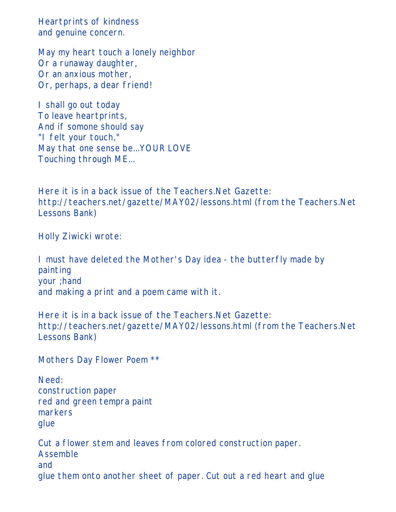Heartprints of kindness and genuine concern.

May my heart touch a lonely neighbor Or a runaway daughter, Or an anxious mother, Or, perhaps, a dear friend!

I shall go out today To leave heartprints, And if somone should say "I felt your touch," May that one sense be...YOUR LOVE Touching through ME...

Here it is in a back issue of the Teachers.Net Gazette: http://teachers.net/gazette/MAY02/lessons.html (from the Teachers.Net Lessons Bank)

Holly Ziwicki wrote:

I must have deleted the Mother's Day idea - the butterfly made by painting your ;hand and making a print and a poem came with it.

Here it is in a back issue of the Teachers.Net Gazette: http://teachers.net/gazette/MAY02/lessons.html (from the Teachers.Net Lessons Bank)

Mothers Day Flower Poem \*\*

Need: construction paper red and green tempra paint markers glue

Cut a flower stem and leaves from colored construction paper. Assemble and glue them onto another sheet of paper. Cut out a red heart and glue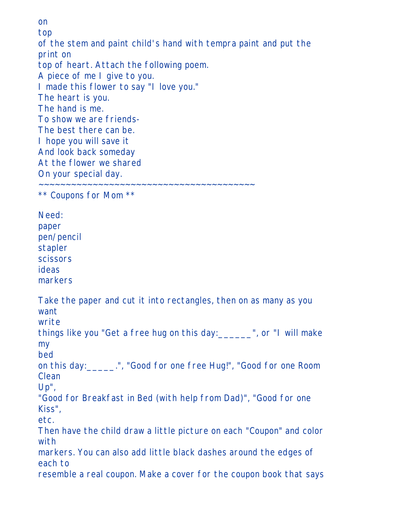on top of the stem and paint child's hand with tempra paint and put the print on top of heart. Attach the following poem. A piece of me I give to you. I made this flower to say "I love you." The heart is you. The hand is me. To show we are friends-The best there can be. I hope you will save it And look back someday At the flower we shared On your special day. ~~~~~~~~~~~~~~~~~~~~~~~~~~~~~~~~~~~~~~~~

\*\* Coupons for Mom \*\*

Need: paper pen/pencil stapler scissors ideas markers

Take the paper and cut it into rectangles, then on as many as you want

write

things like you "Get a free hug on this day:\_\_\_\_\_\_", or "I will make my

bed on this day:\_\_\_\_\_.", "Good for one free Hug!", "Good for one Room Clean

Up",

"Good for Breakfast in Bed (with help from Dad)", "Good for one Kiss",

etc.

Then have the child draw a little picture on each "Coupon" and color with

markers. You can also add little black dashes around the edges of each to

resemble a real coupon. Make a cover for the coupon book that says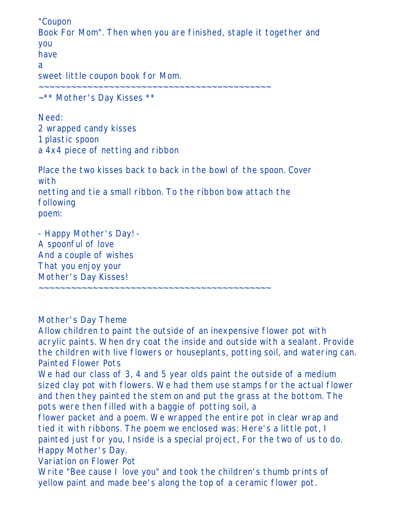"Coupon Book For Mom". Then when you are finished, staple it together and you have a sweet little coupon book for Mom. ~~~~~~~~~~~~~~~~~~~~~~~~~~~~~~~~~~~~~~~~~~~ ~\*\* Mother's Day Kisses \*\*

Need: 2 wrapped candy kisses 1 plastic spoon a 4x4 piece of netting and ribbon

Place the two kisses back to back in the bowl of the spoon. Cover with netting and tie a small ribbon. To the ribbon bow attach the following poem:

- Happy Mother's Day! - A spoonful of love And a couple of wishes That you enjoy your Mother's Day Kisses!

Mother's Day Theme

Allow children to paint the outside of an inexpensive flower pot with acrylic paints. When dry coat the inside and outside with a sealant. Provide the children with live flowers or houseplants, potting soil, and watering can. Painted Flower Pots

~~~~~~~~~~~~~~~~~~~~~~~~~~~~~~~~~~~~~~~~~~~

We had our class of 3, 4 and 5 year olds paint the outside of a medium sized clay pot with flowers. We had them use stamps for the actual flower and then they painted the stem on and put the grass at the bottom. The pots were then filled with a baggie of potting soil, a

flower packet and a poem. We wrapped the entire pot in clear wrap and tied it with ribbons. The poem we enclosed was: Here's a little pot, I painted just for you, Inside is a special project, For the two of us to do. Happy Mother's Day.

Variation on Flower Pot

Write "Bee cause I love you" and took the children's thumb prints of yellow paint and made bee's along the top of a ceramic flower pot.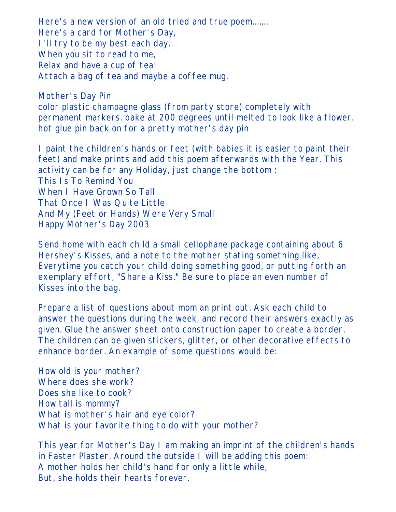Here's a new version of an old tried and true poem....... Here's a card for Mother's Day, I'll try to be my best each day. When you sit to read to me, Relax and have a cup of tea! Attach a bag of tea and maybe a coffee mug.

Mother's Day Pin color plastic champagne glass (from party store) completely with permanent markers. bake at 200 degrees until melted to look like a flower. hot glue pin back on for a pretty mother's day pin

I paint the children's hands or feet (with babies it is easier to paint their feet) and make prints and add this poem afterwards with the Year. This activity can be for any Holiday, just change the bottom : This Is To Remind You When I Have Grown So Tall That Once I Was Quite Little And My (Feet or Hands) Were Very Small Happy Mother's Day 2003

Send home with each child a small cellophane package containing about 6 Hershey's Kisses, and a note to the mother stating something like, Everytime you catch your child doing something good, or putting forth an exemplary effort, "Share a Kiss." Be sure to place an even number of Kisses into the bag.

Prepare a list of questions about mom an print out. Ask each child to answer the questions during the week, and record their answers exactly as given. Glue the answer sheet onto construction paper to create a border. The children can be given stickers, glitter, or other decorative effects to enhance border. An example of some questions would be:

How old is your mother? Where does she work? Does she like to cook? How tall is mommy? What is mother's hair and eye color? What is your favorite thing to do with your mother?

This year for Mother's Day I am making an imprint of the children's hands in Faster Plaster. Around the outside I will be adding this poem: A mother holds her child's hand for only a little while, But, she holds their hearts forever.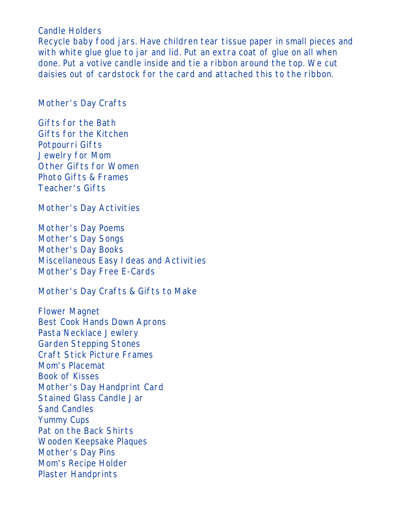Candle Holders

Recycle baby food jars. Have children tear tissue paper in small pieces and with white glue glue to jar and lid. Put an extra coat of glue on all when done. Put a votive candle inside and tie a ribbon around the top. We cut daisies out of cardstock for the card and attached this to the ribbon.

Mother's Day Crafts

Gifts for the Bath Gifts for the Kitchen Potpourri Gifts Jewelry for Mom Other Gifts for Women Photo Gifts & Frames Teacher's Gifts

Mother's Day Activities

Mother's Day Poems Mother's Day Songs Mother's Day Books Miscellaneous Easy Ideas and Activities Mother's Day Free E-Cards

Mother's Day Crafts & Gifts to Make

Flower Magnet Best Cook Hands Down Aprons Pasta Necklace Jewlery Garden Stepping Stones Craft Stick Picture Frames Mom's Placemat Book of Kisses Mother's Day Handprint Card Stained Glass Candle Jar Sand Candles Yummy Cups Pat on the Back Shirts Wooden Keepsake Plaques Mother's Day Pins Mom's Recipe Holder Plaster Handprints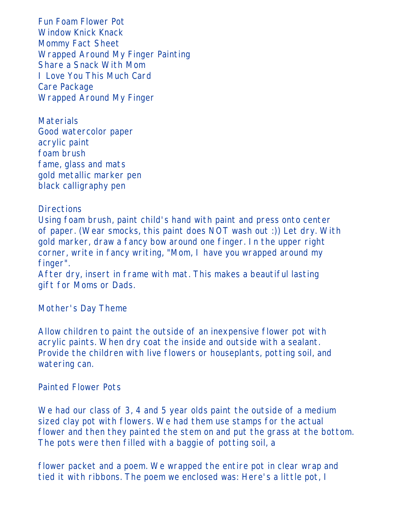Fun Foam Flower Pot Window Knick Knack Mommy Fact Sheet Wrapped Around My Finger Painting Share a Snack With Mom I Love You This Much Card Care Package Wrapped Around My Finger

**Materials** Good watercolor paper acrylic paint foam brush fame, glass and mats gold metallic marker pen black calligraphy pen

**Directions** 

Using foam brush, paint child's hand with paint and press onto center of paper. (Wear smocks, this paint does NOT wash out :)) Let dry. With gold marker, draw a fancy bow around one finger. In the upper right corner, write in fancy writing, "Mom, I have you wrapped around my finger".

After dry, insert in frame with mat. This makes a beautiful lasting gift for Moms or Dads.

Mother's Day Theme

Allow children to paint the outside of an inexpensive flower pot with acrylic paints. When dry coat the inside and outside with a sealant. Provide the children with live flowers or houseplants, potting soil, and watering can.

#### Painted Flower Pots

We had our class of 3, 4 and 5 year olds paint the outside of a medium sized clay pot with flowers. We had them use stamps for the actual flower and then they painted the stem on and put the grass at the bottom. The pots were then filled with a baggie of potting soil, a

flower packet and a poem. We wrapped the entire pot in clear wrap and tied it with ribbons. The poem we enclosed was: Here's a little pot, I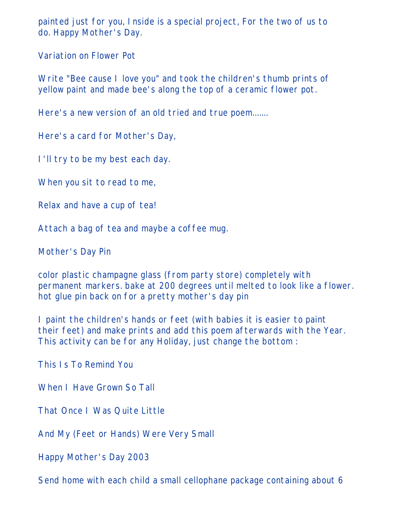painted just for you, Inside is a special project, For the two of us to do. Happy Mother's Day.

Variation on Flower Pot

Write "Bee cause I love you" and took the children's thumb prints of yellow paint and made bee's along the top of a ceramic flower pot.

Here's a new version of an old tried and true poem.......

Here's a card for Mother's Day,

I'll try to be my best each day.

When you sit to read to me,

Relax and have a cup of tea!

Attach a bag of tea and maybe a coffee mug.

Mother's Day Pin

color plastic champagne glass (from party store) completely with permanent markers. bake at 200 degrees until melted to look like a flower. hot glue pin back on for a pretty mother's day pin

I paint the children's hands or feet (with babies it is easier to paint their feet) and make prints and add this poem afterwards with the Year. This activity can be for any Holiday, just change the bottom :

This Is To Remind You

When I Have Grown So Tall

That Once I Was Quite Little

And My (Feet or Hands) Were Very Small

Happy Mother's Day 2003

Send home with each child a small cellophane package containing about 6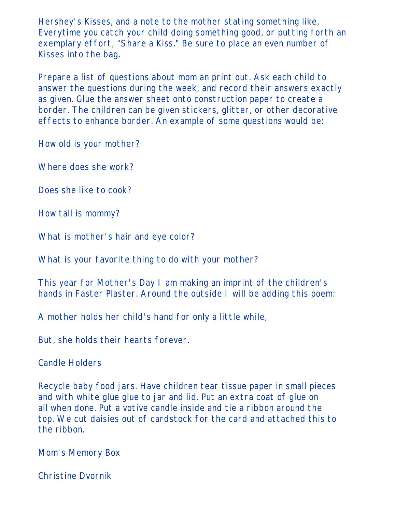Hershey's Kisses, and a note to the mother stating something like, Everytime you catch your child doing something good, or putting forth an exemplary effort, "Share a Kiss." Be sure to place an even number of Kisses into the bag.

Prepare a list of questions about mom an print out. Ask each child to answer the questions during the week, and record their answers exactly as given. Glue the answer sheet onto construction paper to create a border. The children can be given stickers, glitter, or other decorative effects to enhance border. An example of some questions would be:

How old is your mother?

Where does she work?

Does she like to cook?

How tall is mommy?

What is mother's hair and eye color?

What is your favorite thing to do with your mother?

This year for Mother's Day I am making an imprint of the children's hands in Faster Plaster. Around the outside I will be adding this poem:

A mother holds her child's hand for only a little while,

But, she holds their hearts forever.

Candle Holders

Recycle baby food jars. Have children tear tissue paper in small pieces and with white glue glue to jar and lid. Put an extra coat of glue on all when done. Put a votive candle inside and tie a ribbon around the top. We cut daisies out of cardstock for the card and attached this to the ribbon.

Mom's Memory Box

Christine Dvornik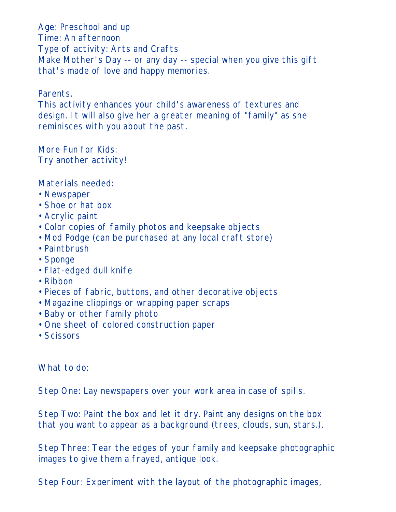Age: Preschool and up Time: An afternoon Type of activity: Arts and Crafts Make Mother's Day -- or any day -- special when you give this gift that's made of love and happy memories.

#### Parents.

This activity enhances your child's awareness of textures and design. It will also give her a greater meaning of "family" as she reminisces with you about the past.

More Fun for Kids: Try another activity!

Materials needed:

- Newspaper
- Shoe or hat box
- Acrylic paint
- Color copies of family photos and keepsake objects
- Mod Podge (can be purchased at any local craft store)
- Paintbrush
- Sponge
- Flat-edged dull knife
- Ribbon
- Pieces of fabric, buttons, and other decorative objects
- Magazine clippings or wrapping paper scraps
- Baby or other family photo
- One sheet of colored construction paper
- Scissors

What to do:

Step One: Lay newspapers over your work area in case of spills.

Step Two: Paint the box and let it dry. Paint any designs on the box that you want to appear as a background (trees, clouds, sun, stars.).

Step Three: Tear the edges of your family and keepsake photographic images to give them a frayed, antique look.

Step Four: Experiment with the layout of the photographic images,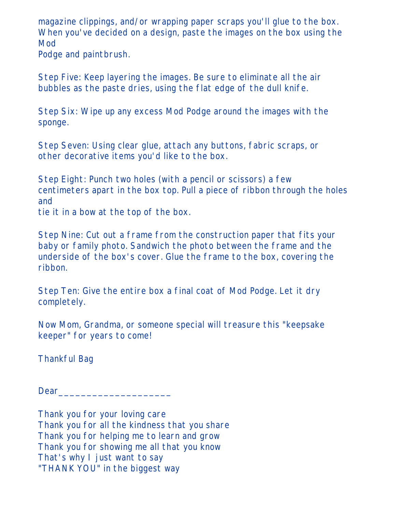magazine clippings, and/or wrapping paper scraps you'll glue to the box. When you've decided on a design, paste the images on the box using the Mod Podge and paintbrush.

Step Five: Keep layering the images. Be sure to eliminate all the air bubbles as the paste dries, using the flat edge of the dull knife.

Step Six: Wipe up any excess Mod Podge around the images with the sponge.

Step Seven: Using clear glue, attach any buttons, fabric scraps, or other decorative items you'd like to the box.

Step Eight: Punch two holes (with a pencil or scissors) a few centimeters apart in the box top. Pull a piece of ribbon through the holes and

tie it in a bow at the top of the box.

Step Nine: Cut out a frame from the construction paper that fits your baby or family photo. Sandwich the photo between the frame and the underside of the box's cover. Glue the frame to the box, covering the ribbon.

Step Ten: Give the entire box a final coat of Mod Podge. Let it dry completely.

Now Mom, Grandma, or someone special will treasure this "keepsake keeper" for years to come!

Thankful Bag

Dear

Thank you for your loving care Thank you for all the kindness that you share Thank you for helping me to learn and grow Thank you for showing me all that you know That's why I just want to say "THANK YOU" in the biggest way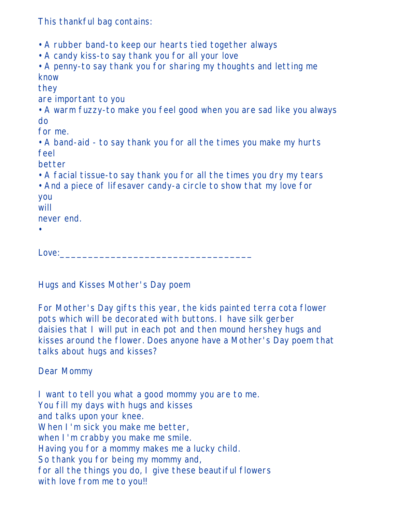This thankful bag contains:

- A rubber band-to keep our hearts tied together always
- A candy kiss-to say thank you for all your love
- A penny-to say thank you for sharing my thoughts and letting me know

they

are important to you

• A warm fuzzy-to make you feel good when you are sad like you always do

for me.

• A band-aid - to say thank you for all the times you make my hurts feel

better

- A facial tissue-to say thank you for all the times you dry my tears
- And a piece of lifesaver candy-a circle to show that my love for

you

will never end.

•

Love:

Hugs and Kisses Mother's Day poem

For Mother's Day gifts this year, the kids painted terra cota flower pots which will be decorated with buttons. I have silk gerber daisies that I will put in each pot and then mound hershey hugs and kisses around the flower. Does anyone have a Mother's Day poem that talks about hugs and kisses?

Dear Mommy

I want to tell you what a good mommy you are to me. You fill my days with hugs and kisses and talks upon your knee. When I'm sick you make me better, when I'm crabby you make me smile. Having you for a mommy makes me a lucky child. So thank you for being my mommy and, for all the things you do, I give these beautiful flowers with love from me to you!!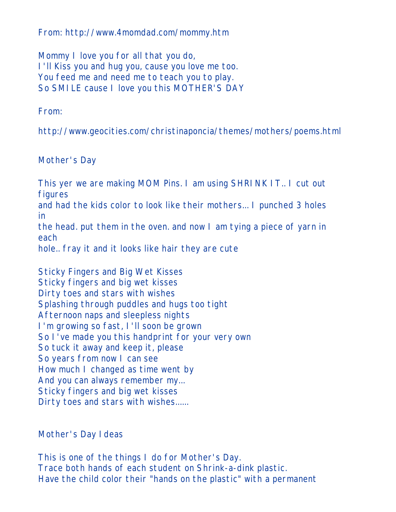From: http://www.4momdad.com/mommy.htm

Mommy I love you for all that you do, I'll Kiss you and hug you, cause you love me too. You feed me and need me to teach you to play. So SMILE cause I love you this MOTHER'S DAY

From:

http://www.geocities.com/christinaponcia/themes/mothers/poems.html

Mother's Day

This yer we are making MOM Pins. I am using SHRINK IT.. I cut out figures and had the kids color to look like their mothers... I punched 3 holes in

the head. put them in the oven. and now I am tying a piece of yarn in each

hole.. fray it and it looks like hair they are cute

Sticky Fingers and Big Wet Kisses Sticky fingers and big wet kisses Dirty toes and stars with wishes Splashing through puddles and hugs too tight Afternoon naps and sleepless nights I'm growing so fast, I'll soon be grown So I've made you this handprint for your very own So tuck it away and keep it, please So years from now I can see How much I changed as time went by And you can always remember my... Sticky fingers and big wet kisses Dirty toes and stars with wishes......

Mother's Day Ideas

This is one of the things I do for Mother's Day. Trace both hands of each student on Shrink-a-dink plastic. Have the child color their "hands on the plastic" with a permanent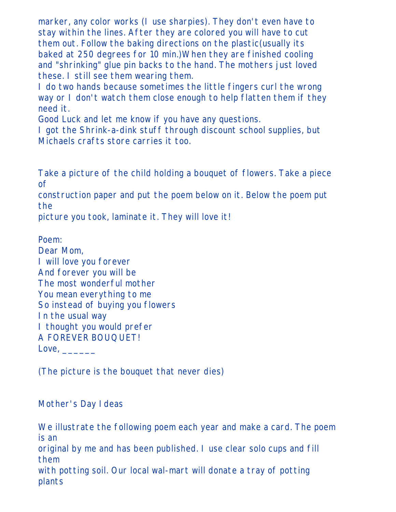marker, any color works (I use sharpies). They don't even have to stay within the lines. After they are colored you will have to cut them out. Follow the baking directions on the plastic(usually its baked at 250 degrees for 10 min.)When they are finished cooling and "shrinking" glue pin backs to the hand. The mothers just loved these. I still see them wearing them.

I do two hands because sometimes the little fingers curl the wrong way or I don't watch them close enough to help flatten them if they need it.

Good Luck and let me know if you have any questions.

I got the Shrink-a-dink stuff through discount school supplies, but Michaels crafts store carries it too.

Take a picture of the child holding a bouquet of flowers. Take a piece of

construction paper and put the poem below on it. Below the poem put the

picture you took, laminate it. They will love it!

Poem:

Dear Mom, I will love you forever And forever you will be The most wonderful mother You mean everything to me So instead of buying you flowers In the usual way I thought you would prefer A FOREVER BOUQUET! Love,

(The picture is the bouquet that never dies)

Mother's Day Ideas

We illustrate the following poem each year and make a card. The poem is an original by me and has been published. I use clear solo cups and fill them with potting soil. Our local wal-mart will donate a tray of potting plants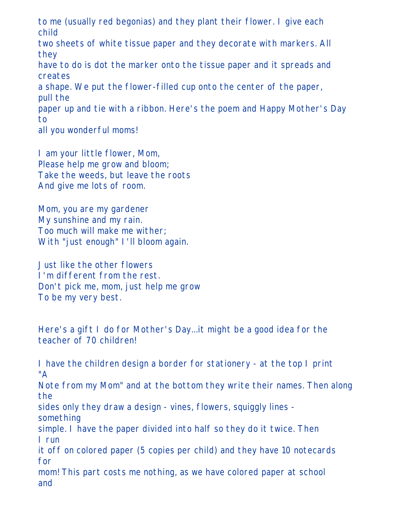to me (usually red begonias) and they plant their flower. I give each child two sheets of white tissue paper and they decorate with markers. All they have to do is dot the marker onto the tissue paper and it spreads and creates a shape. We put the flower-filled cup onto the center of the paper, pull the paper up and tie with a ribbon. Here's the poem and Happy Mother's Day to all you wonderful moms!

I am your little flower, Mom, Please help me grow and bloom; Take the weeds, but leave the roots And give me lots of room.

Mom, you are my gardener My sunshine and my rain. Too much will make me wither; With "just enough" I'll bloom again.

Just like the other flowers I'm different from the rest. Don't pick me, mom, just help me grow To be my very best.

Here's a gift I do for Mother's Day...it might be a good idea for the teacher of 70 children!

I have the children design a border for stationery - at the top I print "A Note from my Mom" and at the bottom they write their names. Then along the sides only they draw a design - vines, flowers, squiggly lines something simple. I have the paper divided into half so they do it twice. Then I run it off on colored paper (5 copies per child) and they have 10 notecards for mom! This part costs me nothing, as we have colored paper at school and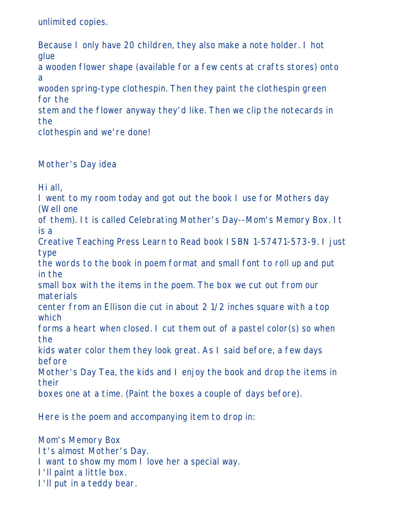unlimited copies.

Because I only have 20 children, they also make a note holder. I hot glue a wooden flower shape (available for a few cents at crafts stores) onto a wooden spring-type clothespin. Then they paint the clothespin green for the stem and the flower anyway they'd like. Then we clip the notecards in the clothespin and we're done!

Mother's Day idea

Hi all,

I went to my room today and got out the book I use for Mothers day (Well one

of them). It is called Celebrating Mother's Day--Mom's Memory Box. It is a

Creative Teaching Press Learn to Read book ISBN 1-57471-573-9. I just type

the words to the book in poem format and small font to roll up and put in the

small box with the items in the poem. The box we cut out from our materials

center from an Ellison die cut in about 2 1/2 inches square with a top which

forms a heart when closed. I cut them out of a pastel color(s) so when the

kids water color them they look great. As I said before, a few days before

Mother's Day Tea, the kids and I enjoy the book and drop the items in their

boxes one at a time. (Paint the boxes a couple of days before).

Here is the poem and accompanying item to drop in:

Mom's Memory Box It's almost Mother's Day. I want to show my mom I love her a special way. I'll paint a little box. I'll put in a teddy bear.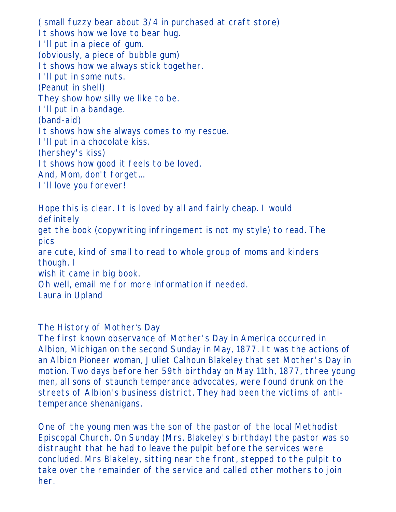( small fuzzy bear about 3/4 in purchased at craft store) It shows how we love to bear hug. I'll put in a piece of gum. (obviously, a piece of bubble gum) It shows how we always stick together. I'll put in some nuts. (Peanut in shell) They show how silly we like to be. I'll put in a bandage. (band-aid) It shows how she always comes to my rescue. I'll put in a chocolate kiss. (hershey's kiss) It shows how good it feels to be loved. And, Mom, don't forget... I'll love you forever!

Hope this is clear. It is loved by all and fairly cheap. I would definitely get the book (copywriting infringement is not my style) to read. The pics are cute, kind of small to read to whole group of moms and kinders though. I wish it came in big book. Oh well, email me for more information if needed. Laura in Upland

The History of Mother's Day

The first known observance of Mother's Day in America occurred in Albion, Michigan on the second Sunday in May, 1877. It was the actions of an Albion Pioneer woman, Juliet Calhoun Blakeley that set Mother's Day in motion. Two days before her 59th birthday on May 11th, 1877, three young men, all sons of staunch temperance advocates, were found drunk on the streets of Albion's business district. They had been the victims of antitemperance shenanigans.

One of the young men was the son of the pastor of the local Methodist Episcopal Church. On Sunday (Mrs. Blakeley's birthday) the pastor was so distraught that he had to leave the pulpit before the services were concluded. Mrs Blakeley, sitting near the front, stepped to the pulpit to take over the remainder of the service and called other mothers to join her.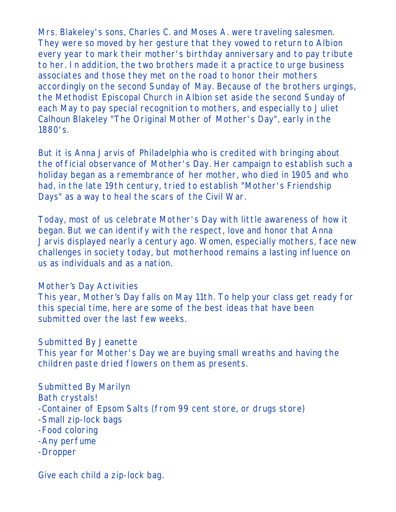Mrs. Blakeley's sons, Charles C. and Moses A. were traveling salesmen. They were so moved by her gesture that they vowed to return to Albion every year to mark their mother's birthday anniversary and to pay tribute to her. In addition, the two brothers made it a practice to urge business associates and those they met on the road to honor their mothers accordingly on the second Sunday of May. Because of the brothers urgings, the Methodist Episcopal Church in Albion set aside the second Sunday of each May to pay special recognition to mothers, and especially to Juliet Calhoun Blakeley "The Original Mother of Mother's Day", early in the 1880's.

But it is Anna Jarvis of Philadelphia who is credited with bringing about the official observance of Mother's Day. Her campaign to establish such a holiday began as a remembrance of her mother, who died in 1905 and who had, in the late 19th century, tried to establish "Mother's Friendship Days" as a way to heal the scars of the Civil War.

Today, most of us celebrate Mother's Day with little awareness of how it began. But we can identify with the respect, love and honor that Anna Jarvis displayed nearly a century ago. Women, especially mothers, face new challenges in society today, but motherhood remains a lasting influence on us as individuals and as a nation.

#### Mother's Day Activities

This year, Mother's Day falls on May 11th. To help your class get ready for this special time, here are some of the best ideas that have been submitted over the last few weeks.

Submitted By Jeanette This year for Mother's Day we are buying small wreaths and having the children paste dried flowers on them as presents.

Submitted By Marilyn Bath crystals! -Container of Epsom Salts (from 99 cent store, or drugs store) -Small zip-lock bags -Food coloring -Any perfume -Dropper

Give each child a zip-lock bag.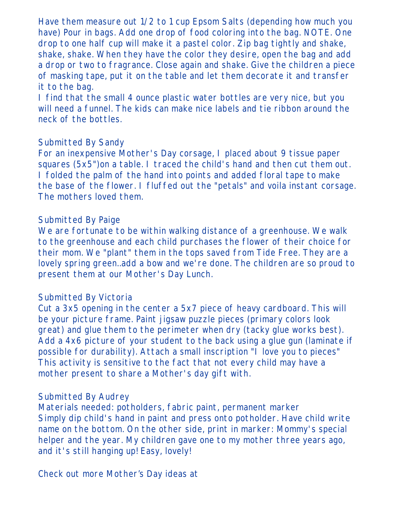Have them measure out 1/2 to 1 cup Epsom Salts (depending how much you have) Pour in bags. Add one drop of food coloring into the bag. NOTE. One drop to one half cup will make it a pastel color. Zip bag tightly and shake, shake, shake. When they have the color they desire, open the bag and add a drop or two to fragrance. Close again and shake. Give the children a piece of masking tape, put it on the table and let them decorate it and transfer it to the bag.

I find that the small 4 ounce plastic water bottles are very nice, but you will need a funnel. The kids can make nice labels and tie ribbon around the neck of the bottles.

### Submitted By Sandy

For an inexpensive Mother's Day corsage, I placed about 9 tissue paper squares (5x5")on a table. I traced the child's hand and then cut them out. I folded the palm of the hand into points and added floral tape to make the base of the flower. I fluffed out the "petals" and voila instant corsage. The mothers loved them.

### Submitted By Paige

We are fortunate to be within walking distance of a greenhouse. We walk to the greenhouse and each child purchases the flower of their choice for their mom. We "plant" them in the tops saved from Tide Free. They are a lovely spring green..add a bow and we're done. The children are so proud to present them at our Mother's Day Lunch.

## Submitted By Victoria

Cut a 3x5 opening in the center a 5x7 piece of heavy cardboard. This will be your picture frame. Paint jigsaw puzzle pieces (primary colors look great) and glue them to the perimeter when dry (tacky glue works best). Add a 4x6 picture of your student to the back using a glue gun (laminate if possible for durability). Attach a small inscription "I love you to pieces" This activity is sensitive to the fact that not every child may have a mother present to share a Mother's day gift with.

## Submitted By Audrey

Materials needed: potholders, fabric paint, permanent marker Simply dip child's hand in paint and press onto potholder. Have child write name on the bottom. On the other side, print in marker: Mommy's special helper and the year. My children gave one to my mother three years ago, and it's still hanging up! Easy, lovely!

Check out more Mother's Day ideas at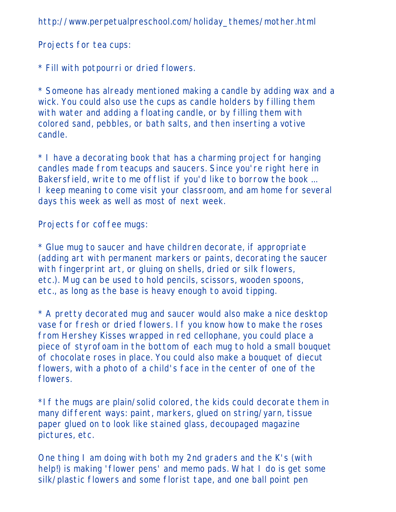http://www.perpetualpreschool.com/holiday\_themes/mother.html

Projects for tea cups:

\* Fill with potpourri or dried flowers.

\* Someone has already mentioned making a candle by adding wax and a wick. You could also use the cups as candle holders by filling them with water and adding a floating candle, or by filling them with colored sand, pebbles, or bath salts, and then inserting a votive candle.

\* I have a decorating book that has a charming project for hanging candles made from teacups and saucers. Since you're right here in Bakersfield, write to me offlist if you'd like to borrow the book ... I keep meaning to come visit your classroom, and am home for several days this week as well as most of next week.

Projects for coffee mugs:

\* Glue mug to saucer and have children decorate, if appropriate (adding art with permanent markers or paints, decorating the saucer with fingerprint art, or gluing on shells, dried or silk flowers, etc.). Mug can be used to hold pencils, scissors, wooden spoons, etc., as long as the base is heavy enough to avoid tipping.

\* A pretty decorated mug and saucer would also make a nice desktop vase for fresh or dried flowers. If you know how to make the roses from Hershey Kisses wrapped in red cellophane, you could place a piece of styrofoam in the bottom of each mug to hold a small bouquet of chocolate roses in place. You could also make a bouquet of diecut flowers, with a photo of a child's face in the center of one of the flowers.

\*If the mugs are plain/solid colored, the kids could decorate them in many different ways: paint, markers, glued on string/yarn, tissue paper glued on to look like stained glass, decoupaged magazine pictures, etc.

One thing I am doing with both my 2nd graders and the K's (with help!) is making 'flower pens' and memo pads. What I do is get some silk/plastic flowers and some florist tape, and one ball point pen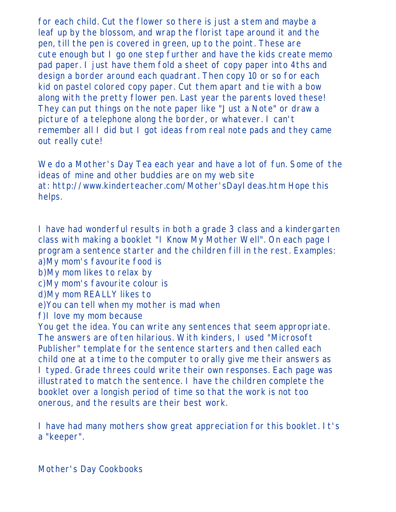for each child. Cut the flower so there is just a stem and maybe a leaf up by the blossom, and wrap the florist tape around it and the pen, till the pen is covered in green, up to the point. These are cute enough but I go one step further and have the kids create memo pad paper. I just have them fold a sheet of copy paper into 4ths and design a border around each quadrant. Then copy 10 or so for each kid on pastel colored copy paper. Cut them apart and tie with a bow along with the pretty flower pen. Last year the parents loved these! They can put things on the note paper like "Just a Note" or draw a picture of a telephone along the border, or whatever. I can't remember all I did but I got ideas from real note pads and they came out really cute!

We do a Mother's Day Tea each year and have a lot of fun. Some of the ideas of mine and other buddies are on my web site at: http://www.kinderteacher.com/Mother'sDayIdeas.htm Hope this helps.

I have had wonderful results in both a grade 3 class and a kindergarten class with making a booklet "I Know My Mother Well". On each page I program a sentence starter and the children fill in the rest. Examples: a)My mom's favourite food is b)My mom likes to relax by c)My mom's favourite colour is d)My mom REALLY likes to e)You can tell when my mother is mad when f)I love my mom because You get the idea. You can write any sentences that seem appropriate. The answers are often hilarious. With kinders, I used "Microsoft Publisher" template for the sentence starters and then called each child one at a time to the computer to orally give me their answers as I typed. Grade threes could write their own responses. Each page was illustrated to match the sentence. I have the children complete the booklet over a longish period of time so that the work is not too onerous, and the results are their best work.

I have had many mothers show great appreciation for this booklet. It's a "keeper".

Mother's Day Cookbooks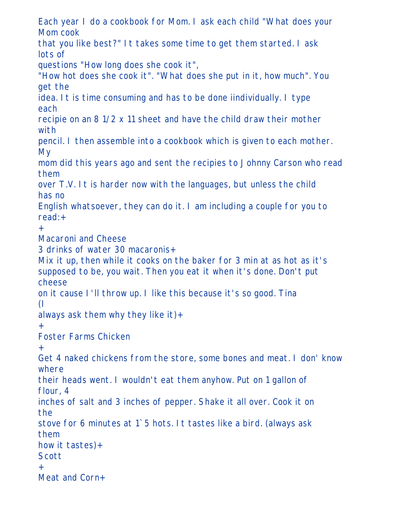Each year I do a cookbook for Mom. I ask each child "What does your Mom cook

that you like best?" It takes some time to get them started. I ask lots of

questions "How long does she cook it",

"How hot does she cook it". "What does she put in it, how much". You get the

idea. It is time consuming and has to be done iindividually. I type each

recipie on an 8 1/2 x 11 sheet and have the child draw their mother with

pencil. I then assemble into a cookbook which is given to each mother. My

mom did this years ago and sent the recipies to Johnny Carson who read them

over T.V. It is harder now with the languages, but unless the child has no

English whatsoever, they can do it. I am including a couple for you to read:+

+

Macaroni and Cheese

3 drinks of water 30 macaronis+

Mix it up, then while it cooks on the baker for 3 min at as hot as it's supposed to be, you wait. Then you eat it when it's done. Don't put cheese

on it cause I'll throw up. I like this because it's so good. Tina (I

always ask them why they like it)+

+

Foster Farms Chicken

```
+
```
Get 4 naked chickens from the store, some bones and meat. I don' know where

their heads went. I wouldn't eat them anyhow. Put on 1 gallon of flour, 4

inches of salt and 3 inches of pepper. Shake it all over. Cook it on the

stove for 6 minutes at 1`5 hots. It tastes like a bird. (always ask them

how it tastes)+

## Scott

+

Meat and Corn+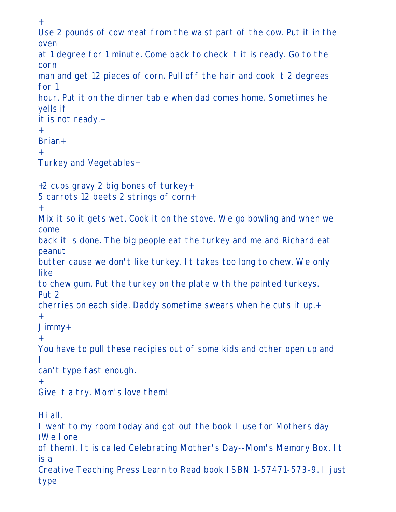+ Use 2 pounds of cow meat from the waist part of the cow. Put it in the oven at 1 degree for 1 minute. Come back to check it it is ready. Go to the corn man and get 12 pieces of corn. Pull off the hair and cook it 2 degrees for 1 hour. Put it on the dinner table when dad comes home. Sometimes he yells if it is not ready.+ + Brian+ + Turkey and Vegetables+ +2 cups gravy 2 big bones of turkey+ 5 carrots 12 beets 2 strings of corn+ + Mix it so it gets wet. Cook it on the stove. We go bowling and when we come back it is done. The big people eat the turkey and me and Richard eat peanut butter cause we don't like turkey. It takes too long to chew. We only like to chew gum. Put the turkey on the plate with the painted turkeys. Put 2 cherries on each side. Daddy sometime swears when he cuts it up.+ + Jimmy+ + You have to pull these recipies out of some kids and other open up and I can't type fast enough. + Give it a try. Mom's love them! Hi all, I went to my room today and got out the book I use for Mothers day (Well one of them). It is called Celebrating Mother's Day--Mom's Memory Box. It is a Creative Teaching Press Learn to Read book ISBN 1-57471-573-9. I just type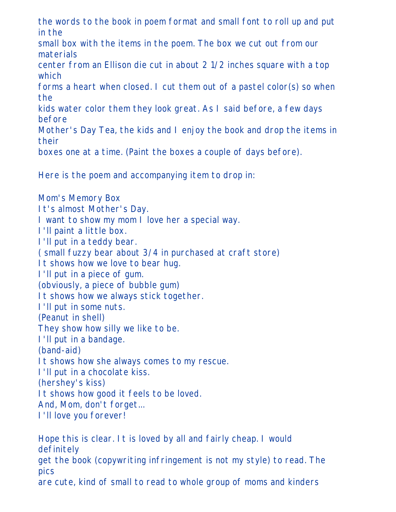the words to the book in poem format and small font to roll up and put in the

small box with the items in the poem. The box we cut out from our materials

center from an Ellison die cut in about 2 1/2 inches square with a top which

forms a heart when closed. I cut them out of a pastel color(s) so when the

kids water color them they look great. As I said before, a few days before

Mother's Day Tea, the kids and I enjoy the book and drop the items in their

boxes one at a time. (Paint the boxes a couple of days before).

Here is the poem and accompanying item to drop in:

Mom's Memory Box It's almost Mother's Day. I want to show my mom I love her a special way. I'll paint a little box. I'll put in a teddy bear. ( small fuzzy bear about 3/4 in purchased at craft store) It shows how we love to bear hug. I'll put in a piece of gum. (obviously, a piece of bubble gum) It shows how we always stick together. I'll put in some nuts. (Peanut in shell) They show how silly we like to be. I'll put in a bandage. (band-aid) It shows how she always comes to my rescue. I'll put in a chocolate kiss. (hershey's kiss) It shows how good it feels to be loved. And, Mom, don't forget... I'll love you forever!

Hope this is clear. It is loved by all and fairly cheap. I would definitely get the book (copywriting infringement is not my style) to read. The pics are cute, kind of small to read to whole group of moms and kinders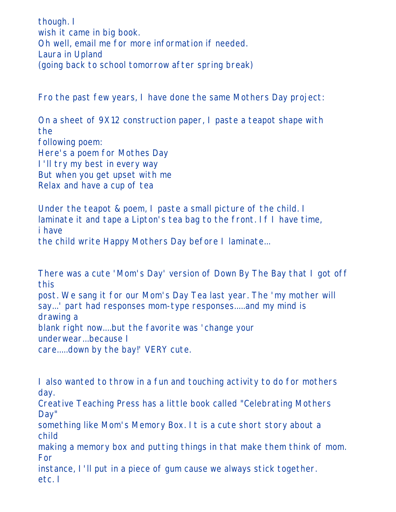though. I wish it came in big book. Oh well, email me for more information if needed. Laura in Upland (going back to school tomorrow after spring break)

Fro the past few years, I have done the same Mothers Day project:

On a sheet of 9X12 construction paper, I paste a teapot shape with the following poem: Here's a poem for Mothes Day I'll try my best in every way But when you get upset with me Relax and have a cup of tea

Under the teapot & poem, I paste a small picture of the child. I laminate it and tape a Lipton's tea bag to the front. If I have time, i have the child write Happy Mothers Day before I laminate...

There was a cute 'Mom's Day' version of Down By The Bay that I got off this post. We sang it for our Mom's Day Tea last year. The 'my mother will say...' part had responses mom-type responses.....and my mind is drawing a blank right now....but the favorite was 'change your underwear...because I care.....down by the bay!' VERY cute.

I also wanted to throw in a fun and touching activity to do for mothers day.

Creative Teaching Press has a little book called "Celebrating Mothers Day"

something like Mom's Memory Box. It is a cute short story about a child

making a memory box and putting things in that make them think of mom. For

instance, I'll put in a piece of gum cause we always stick together. etc. I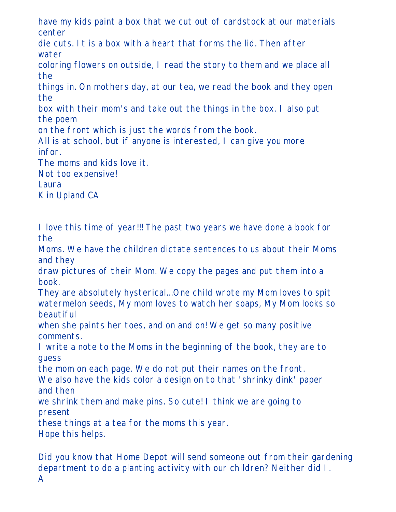have my kids paint a box that we cut out of cardstock at our materials center

die cuts. It is a box with a heart that forms the lid. Then after water

coloring flowers on outside, I read the story to them and we place all the

things in. On mothers day, at our tea, we read the book and they open the

box with their mom's and take out the things in the box. I also put the poem

on the front which is just the words from the book.

All is at school, but if anyone is interested, I can give you more infor.

The moms and kids love it.

Not too expensive!

Laura

K in Upland CA

I love this time of year!!! The past two years we have done a book for the

Moms. We have the children dictate sentences to us about their Moms and they

draw pictures of their Mom. We copy the pages and put them into a book.

They are absolutely hysterical...One child wrote my Mom loves to spit watermelon seeds, My mom loves to watch her soaps, My Mom looks so beautiful

when she paints her toes, and on and on! We get so many positive comments.

I write a note to the Moms in the beginning of the book, they are to guess

the mom on each page. We do not put their names on the front.

We also have the kids color a design on to that 'shrinky dink' paper and then

we shrink them and make pins. So cute! I think we are going to present

these things at a tea for the moms this year.

Hope this helps.

Did you know that Home Depot will send someone out from their gardening department to do a planting activity with our children? Neither did I. A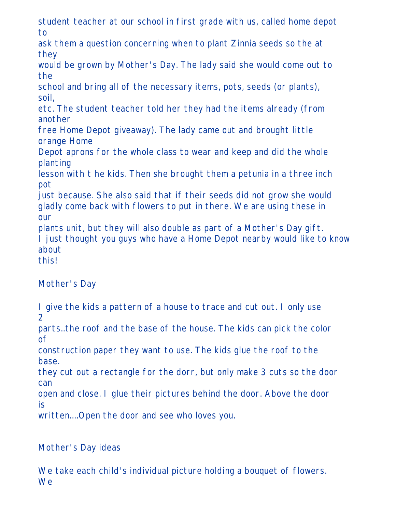student teacher at our school in first grade with us, called home depot to

ask them a question concerning when to plant Zinnia seeds so the at they

would be grown by Mother's Day. The lady said she would come out to the

school and bring all of the necessary items, pots, seeds (or plants), soil,

etc. The student teacher told her they had the items already (from another

free Home Depot giveaway). The lady came out and brought little orange Home

Depot aprons for the whole class to wear and keep and did the whole planting

lesson with t he kids. Then she brought them a petunia in a three inch pot

just because. She also said that if their seeds did not grow she would gladly come back with flowers to put in there. We are using these in our

plants unit, but they will also double as part of a Mother's Day gift. I just thought you guys who have a Home Depot nearby would like to know about

this!

# Mother's Day

I give the kids a pattern of a house to trace and cut out. I only use 2

parts..the roof and the base of the house. The kids can pick the color of

construction paper they want to use. The kids glue the roof to the base.

they cut out a rectangle for the dorr, but only make 3 cuts so the door can

open and close. I glue their pictures behind the door. Above the door is

written....Open the door and see who loves you.

# Mother's Day ideas

We take each child's individual picture holding a bouquet of flowers. **We**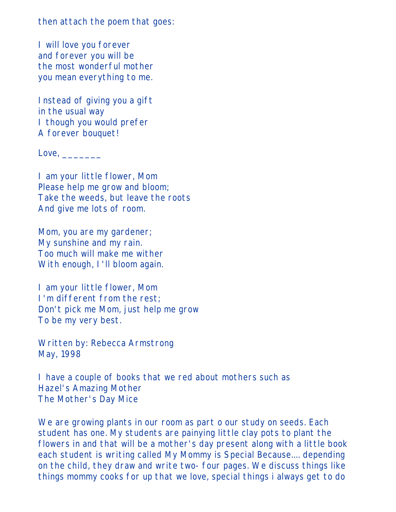then attach the poem that goes:

I will love you forever and forever you will be the most wonderful mother you mean everything to me.

Instead of giving you a gift in the usual way I though you would prefer A forever bouquet!

 $Love, \_\_$ 

I am your little flower, Mom Please help me grow and bloom; Take the weeds, but leave the roots And give me lots of room.

Mom, you are my gardener; My sunshine and my rain. Too much will make me wither With enough, I'll bloom again.

I am your little flower, Mom I'm different from the rest; Don't pick me Mom, just help me grow To be my very best.

Written by: Rebecca Armstrong May, 1998

I have a couple of books that we red about mothers such as Hazel's Amazing Mother The Mother's Day Mice

We are growing plants in our room as part o our study on seeds. Each student has one. My students are painying little clay pots to plant the flowers in and that will be a mother's day present along with a little book each student is writing called My Mommy is Special Because.... depending on the child, they draw and write two- four pages. We discuss things like things mommy cooks for up that we love, special things i always get to do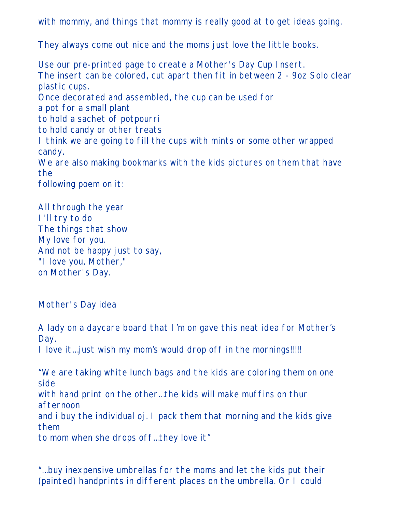with mommy, and things that mommy is really good at to get ideas going.

They always come out nice and the moms just love the little books.

Use our pre-printed page to create a Mother's Day Cup Insert. The insert can be colored, cut apart then fit in between 2 - 9oz Solo clear plastic cups. Once decorated and assembled, the cup can be used for a pot for a small plant to hold a sachet of potpourri to hold candy or other treats I think we are going to fill the cups with mints or some other wrapped candy. We are also making bookmarks with the kids pictures on them that have the following poem on it:

All through the year I'll try to do The things that show My love for you. And not be happy just to say, "I love you, Mother," on Mother's Day.

Mother's Day idea

A lady on a daycare board that I'm on gave this neat idea for Mother's Day. I love it…just wish my mom's would drop off in the mornings!!!!!

"We are taking white lunch bags and the kids are coloring them on one side with hand print on the other…the kids will make muffins on thur afternoon and i buy the individual oj. I pack them that morning and the kids give them to mom when she drops off…they love it"

"…buy inexpensive umbrellas for the moms and let the kids put their (painted) handprints in different places on the umbrella. Or I could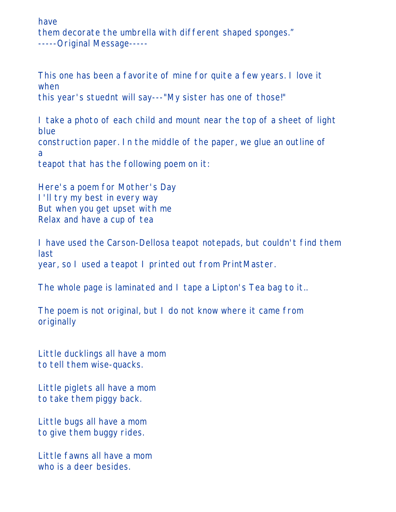have them decorate the umbrella with different shaped sponges." -----Original Message-----

This one has been a favorite of mine for quite a few years. I love it when this year's stuednt will say---"My sister has one of those!"

I take a photo of each child and mount near the top of a sheet of light blue construction paper. In the middle of the paper, we glue an outline of a teapot that has the following poem on it:

Here's a poem for Mother's Day I'll try my best in every way But when you get upset with me Relax and have a cup of tea

I have used the Carson-Dellosa teapot notepads, but couldn't find them last year, so I used a teapot I printed out from PrintMaster.

The whole page is laminated and I tape a Lipton's Tea bag to it..

The poem is not original, but I do not know where it came from originally

Little ducklings all have a mom to tell them wise-quacks.

Little piglets all have a mom to take them piggy back.

Little bugs all have a mom to give them buggy rides.

Little fawns all have a mom who is a deer besides.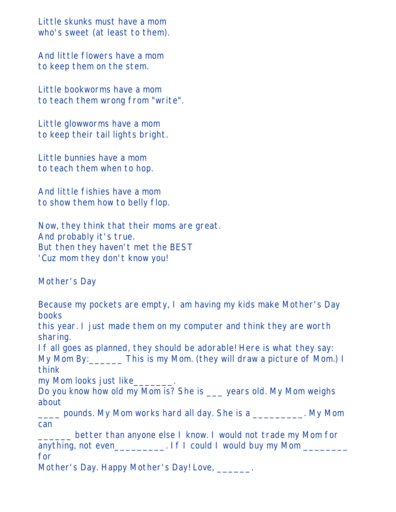Little skunks must have a mom who's sweet (at least to them).

And little flowers have a mom to keep them on the stem.

Little bookworms have a mom to teach them wrong from "write".

Little glowworms have a mom to keep their tail lights bright.

Little bunnies have a mom to teach them when to hop.

And little fishies have a mom to show them how to belly flop.

Now, they think that their moms are great. And probably it's true. But then they haven't met the BEST 'Cuz mom they don't know you!

Mother's Day

Because my pockets are empty, I am having my kids make Mother's Day books this year. I just made them on my computer and think they are worth sharing. If all goes as planned, they should be adorable! Here is what they say: My Mom By: This is my Mom. (they will draw a picture of Mom.) I think my Mom looks just like\_\_\_\_\_\_\_. Do you know how old my Mom is? She is \_\_\_ years old. My Mom weighs about \_\_\_\_ pounds. My Mom works hard all day. She is a \_\_\_\_\_\_\_\_\_. My Mom can \_\_\_\_\_\_ better than anyone else I know. I would not trade my Mom for anything, not even\_\_\_\_\_\_\_\_\_\_. If I could I would buy my Mom \_\_\_\_\_\_\_\_\_\_ for

Mother's Day. Happy Mother's Day! Love, \_\_\_\_\_\_.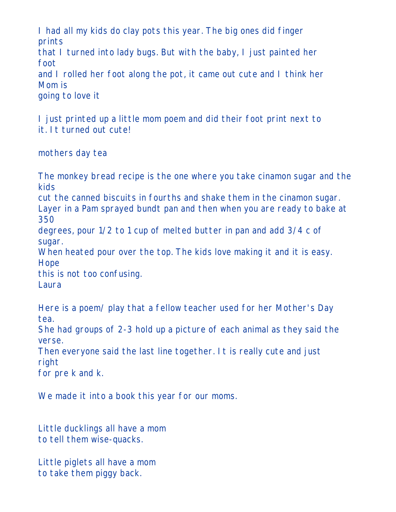I had all my kids do clay pots this year. The big ones did finger prints

that I turned into lady bugs. But with the baby, I just painted her foot

and I rolled her foot along the pot, it came out cute and I think her Mom is

going to love it

I just printed up a little mom poem and did their foot print next to it. It turned out cute!

mothers day tea

The monkey bread recipe is the one where you take cinamon sugar and the kids

cut the canned biscuits in fourths and shake them in the cinamon sugar. Layer in a Pam sprayed bundt pan and then when you are ready to bake at 350

degrees, pour 1/2 to 1 cup of melted butter in pan and add 3/4 c of sugar.

When heated pour over the top. The kids love making it and it is easy. Hope

this is not too confusing.

Laura

Here is a poem/ play that a fellow teacher used for her Mother's Day tea.

She had groups of 2-3 hold up a picture of each animal as they said the verse.

Then everyone said the last line together. It is really cute and just right

for pre k and k.

We made it into a book this year for our moms.

Little ducklings all have a mom to tell them wise-quacks.

Little piglets all have a mom to take them piggy back.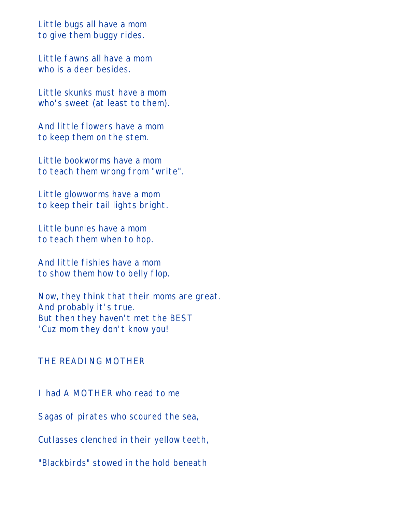Little bugs all have a mom to give them buggy rides.

Little fawns all have a mom who is a deer besides.

Little skunks must have a mom who's sweet (at least to them).

And little flowers have a mom to keep them on the stem.

Little bookworms have a mom to teach them wrong from "write".

Little glowworms have a mom to keep their tail lights bright.

Little bunnies have a mom to teach them when to hop.

And little fishies have a mom to show them how to belly flop.

Now, they think that their moms are great. And probably it's true. But then they haven't met the BEST 'Cuz mom they don't know you!

#### THE READING MOTHER

I had A MOTHER who read to me

Sagas of pirates who scoured the sea,

Cutlasses clenched in their yellow teeth,

"Blackbirds" stowed in the hold beneath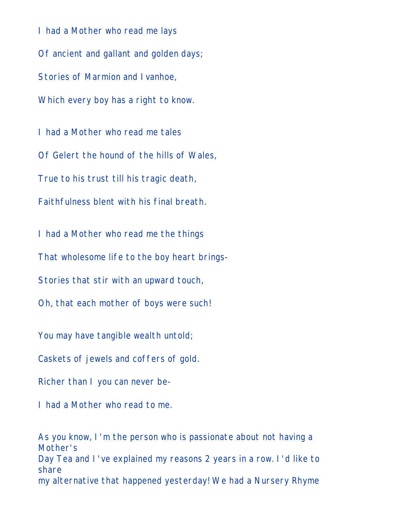I had a Mother who read me lays Of ancient and gallant and golden days; Stories of Marmion and Ivanhoe, Which every boy has a right to know.

I had a Mother who read me tales Of Gelert the hound of the hills of Wales, True to his trust till his tragic death, Faithfulness blent with his final breath.

I had a Mother who read me the things

That wholesome life to the boy heart brings-

Stories that stir with an upward touch,

Oh, that each mother of boys were such!

You may have tangible wealth untold;

Caskets of jewels and coffers of gold.

Richer than I you can never be-

I had a Mother who read to me.

As you know, I'm the person who is passionate about not having a Mother's Day Tea and I've explained my reasons 2 years in a row. I'd like to share my alternative that happened yesterday! We had a Nursery Rhyme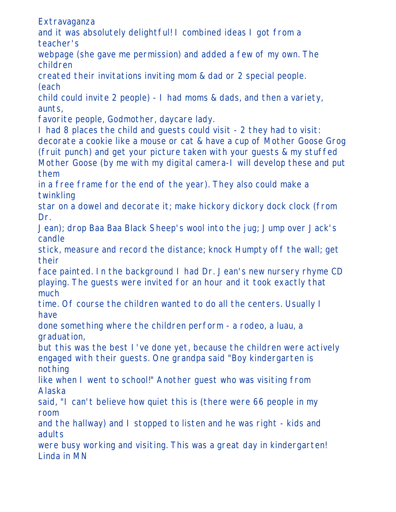Extravaganza

and it was absolutely delightful! I combined ideas I got from a teacher's

webpage (she gave me permission) and added a few of my own. The children

created their invitations inviting mom & dad or 2 special people. (each

child could invite 2 people) - I had moms & dads, and then a variety, aunts,

favorite people, Godmother, daycare lady.

I had 8 places the child and guests could visit - 2 they had to visit: decorate a cookie like a mouse or cat & have a cup of Mother Goose Grog

(fruit punch) and get your picture taken with your guests & my stuffed Mother Goose (by me with my digital camera-I will develop these and put them

in a free frame for the end of the year). They also could make a twinkling

star on a dowel and decorate it; make hickory dickory dock clock (from Dr.

Jean); drop Baa Baa Black Sheep's wool into the jug; Jump over Jack's candle

stick, measure and record the distance; knock Humpty off the wall; get their

face painted. In the background I had Dr. Jean's new nursery rhyme CD playing. The guests were invited for an hour and it took exactly that much

time. Of course the children wanted to do all the centers. Usually I have

done something where the children perform - a rodeo, a luau, a graduation,

but this was the best I've done yet, because the children were actively engaged with their guests. One grandpa said "Boy kindergarten is nothing

like when I went to school!" Another guest who was visiting from Alaska

said, "I can't believe how quiet this is (there were 66 people in my room

and the hallway) and I stopped to listen and he was right - kids and adults

were busy working and visiting. This was a great day in kindergarten! Linda in MN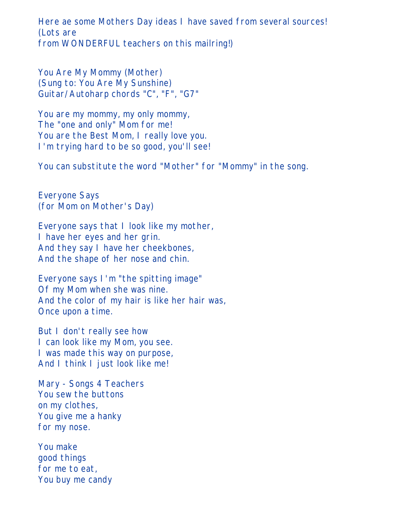Here ae some Mothers Day ideas I have saved from several sources! (Lots are from WONDERFUL teachers on this mailring!)

You Are My Mommy (Mother) (Sung to: You Are My Sunshine) Guitar/Autoharp chords "C", "F", "G7"

You are my mommy, my only mommy, The "one and only" Mom for me! You are the Best Mom, I really love you. I'm trying hard to be so good, you'll see!

You can substitute the word "Mother" for "Mommy" in the song.

Everyone Says (for Mom on Mother's Day)

Everyone says that I look like my mother, I have her eyes and her grin. And they say I have her cheekbones, And the shape of her nose and chin.

Everyone says I'm "the spitting image" Of my Mom when she was nine. And the color of my hair is like her hair was, Once upon a time.

But I don't really see how I can look like my Mom, you see. I was made this way on purpose, And I think I just look like me!

Mary - Songs 4 Teachers You sew the buttons on my clothes, You give me a hanky for my nose.

You make good things for me to eat, You buy me candy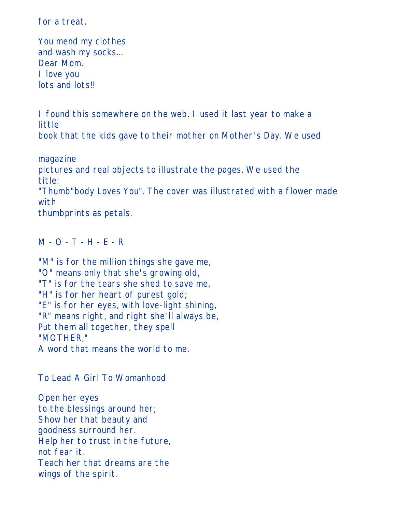for a treat.

You mend my clothes and wash my socks... Dear Mom. I love you lots and lots!!

I found this somewhere on the web. I used it last year to make a little

book that the kids gave to their mother on Mother's Day. We used

magazine pictures and real objects to illustrate the pages. We used the title: "Thumb"body Loves You". The cover was illustrated with a flower made with

thumbprints as petals.

M - O - T - H - E - R

"M" is for the million things she gave me, "O" means only that she's growing old, "T" is for the tears she shed to save me, "H" is for her heart of purest gold; "E" is for her eyes, with love-light shining, "R" means right, and right she'll always be, Put them all together, they spell "MOTHER," A word that means the world to me.

To Lead A Girl To Womanhood

Open her eyes to the blessings around her; Show her that beauty and goodness surround her. Help her to trust in the future, not fear it. Teach her that dreams are the wings of the spirit.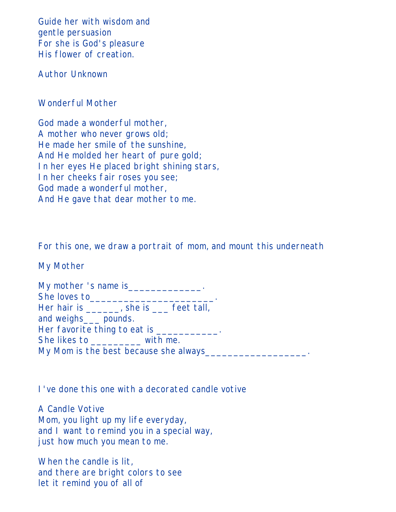Guide her with wisdom and gentle persuasion For she is God's pleasure His flower of creation.

Author Unknown

### Wonderful Mother

God made a wonderful mother, A mother who never grows old; He made her smile of the sunshine, And He molded her heart of pure gold; In her eyes He placed bright shining stars, In her cheeks fair roses you see; God made a wonderful mother, And He gave that dear mother to me.

For this one, we draw a portrait of mom, and mount this underneath

My Mother

| She loves to___________                       |  |
|-----------------------------------------------|--|
| Her hair is _______, she is _____ feet tall,  |  |
| and weighs____ pounds.                        |  |
| Her favorite thing to eat is ___________.     |  |
| She likes to with me.                         |  |
| My Mom is the best because she always________ |  |

I've done this one with a decorated candle votive

A Candle Votive Mom, you light up my life everyday, and I want to remind you in a special way, just how much you mean to me.

When the candle is lit, and there are bright colors to see let it remind you of all of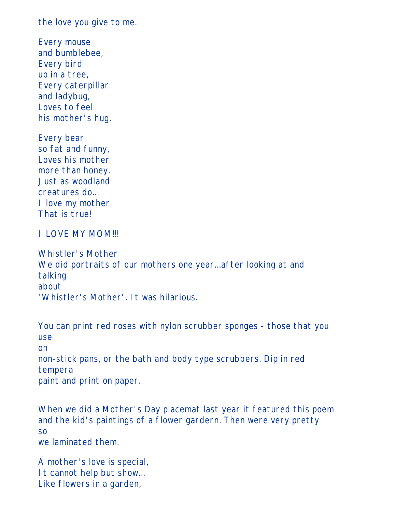the love you give to me.

Every mouse and bumblebee, Every bird up in a tree, Every caterpillar and ladybug, Loves to feel his mother's hug.

Every bear so fat and funny, Loves his mother more than honey. Just as woodland creatures do... I love my mother That is true!

I LOVE MY MOM!!!

Whistler's Mother We did portraits of our mothers one year...after looking at and talking about 'Whistler's Mother'. It was hilarious.

You can print red roses with nylon scrubber sponges - those that you use on non-stick pans, or the bath and body type scrubbers. Dip in red tempera paint and print on paper.

When we did a Mother's Day placemat last year it featured this poem and the kid's paintings of a flower gardern. Then were very pretty so we laminated them.

A mother's love is special, It cannot help but show... Like flowers in a garden,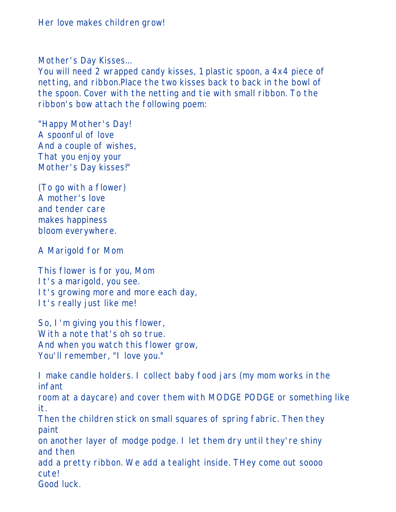Mother's Day Kisses...

You will need 2 wrapped candy kisses, 1 plastic spoon, a 4x4 piece of netting, and ribbon.Place the two kisses back to back in the bowl of the spoon. Cover with the netting and tie with small ribbon. To the ribbon's bow attach the following poem:

"Happy Mother's Day! A spoonful of love And a couple of wishes, That you enjoy your Mother's Day kisses!"

(To go with a flower) A mother's love and tender care makes happiness bloom everywhere.

A Marigold for Mom

This flower is for you, Mom It's a marigold, you see. It's growing more and more each day, It's really just like me!

So, I'm giving you this flower, With a note that's oh so true. And when you watch this flower grow, You'll remember, "I love you."

I make candle holders. I collect baby food jars (my mom works in the infant

room at a daycare) and cover them with MODGE PODGE or something like it.

Then the children stick on small squares of spring fabric. Then they paint

on another layer of modge podge. I let them dry until they're shiny and then

add a pretty ribbon. We add a tealight inside. THey come out soooo cute!

Good luck.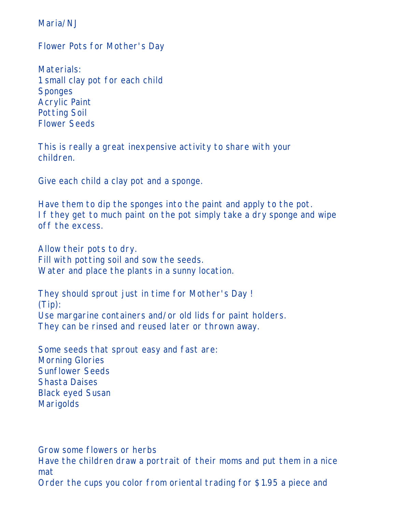Maria/N.J

Flower Pots for Mother's Day

Materials: 1 small clay pot for each child Sponges Acrylic Paint Potting Soil Flower Seeds

This is really a great inexpensive activity to share with your children.

Give each child a clay pot and a sponge.

Have them to dip the sponges into the paint and apply to the pot. If they get to much paint on the pot simply take a dry sponge and wipe off the excess.

Allow their pots to dry. Fill with potting soil and sow the seeds. Water and place the plants in a sunny location.

They should sprout just in time for Mother's Day ! (Tip): Use margarine containers and/or old lids for paint holders. They can be rinsed and reused later or thrown away.

Some seeds that sprout easy and fast are: Morning Glories Sunflower Seeds Shasta Daises Black eyed Susan Marigolds

Grow some flowers or herbs

Have the children draw a portrait of their moms and put them in a nice mat

Order the cups you color from oriental trading for \$1.95 a piece and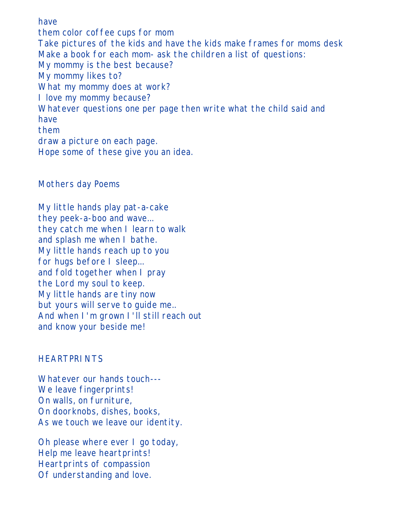have them color coffee cups for mom Take pictures of the kids and have the kids make frames for moms desk Make a book for each mom- ask the children a list of questions: My mommy is the best because? My mommy likes to? What my mommy does at work? I love my mommy because? Whatever questions one per page then write what the child said and have them draw a picture on each page. Hope some of these give you an idea.

#### Mothers day Poems

My little hands play pat-a-cake they peek-a-boo and wave... they catch me when I learn to walk and splash me when I bathe. My little hands reach up to you for hugs before I sleep... and fold together when I pray the Lord my soul to keep. My little hands are tiny now but yours will serve to guide me.. And when I'm grown I'll still reach out and know your beside me!

#### **HEARTPRINTS**

Whatever our hands touch--- We leave fingerprints! On walls, on furniture, On doorknobs, dishes, books, As we touch we leave our identity.

Oh please where ever I go today, Help me leave heartprints! Heartprints of compassion Of understanding and love.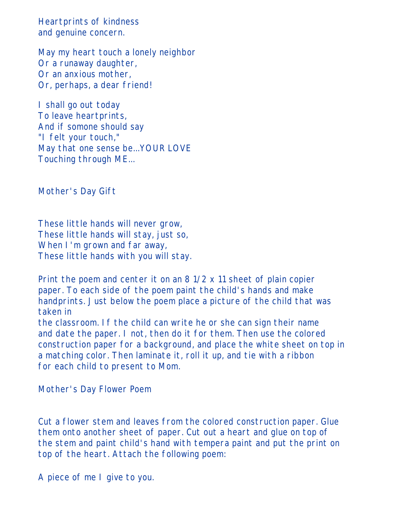Heartprints of kindness and genuine concern.

May my heart touch a lonely neighbor Or a runaway daughter, Or an anxious mother, Or, perhaps, a dear friend!

I shall go out today To leave heartprints, And if somone should say "I felt your touch," May that one sense be...YOUR LOVE Touching through ME...

Mother's Day Gift

These little hands will never grow, These little hands will stay, just so, When I'm grown and far away, These little hands with you will stay.

Print the poem and center it on an 8 1/2 x 11 sheet of plain copier paper. To each side of the poem paint the child's hands and make handprints. Just below the poem place a picture of the child that was taken in the classroom. If the child can write he or she can sign their name

and date the paper. I not, then do it for them. Then use the colored construction paper for a background, and place the white sheet on top in a matching color. Then laminate it, roll it up, and tie with a ribbon for each child to present to Mom.

Mother's Day Flower Poem

Cut a flower stem and leaves from the colored construction paper. Glue them onto another sheet of paper. Cut out a heart and glue on top of the stem and paint child's hand with tempera paint and put the print on top of the heart. Attach the following poem:

A piece of me I give to you.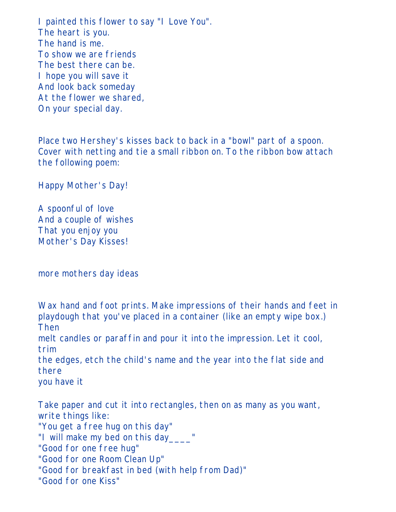I painted this flower to say "I Love You". The heart is you. The hand is me. To show we are friends The best there can be. I hope you will save it And look back someday At the flower we shared, On your special day.

Place two Hershey's kisses back to back in a "bowl" part of a spoon. Cover with netting and tie a small ribbon on. To the ribbon bow attach the following poem:

Happy Mother's Day!

A spoonful of love And a couple of wishes That you enjoy you Mother's Day Kisses!

more mothers day ideas

Wax hand and foot prints. Make impressions of their hands and feet in playdough that you've placed in a container (like an empty wipe box.) Then

melt candles or paraffin and pour it into the impression. Let it cool, trim

the edges, etch the child's name and the year into the flat side and there

you have it

Take paper and cut it into rectangles, then on as many as you want, write things like: "You get a free hug on this day" "I will make my bed on this day\_\_\_\_" "Good for one free hug" "Good for one Room Clean Up" "Good for breakfast in bed (with help from Dad)" "Good for one Kiss"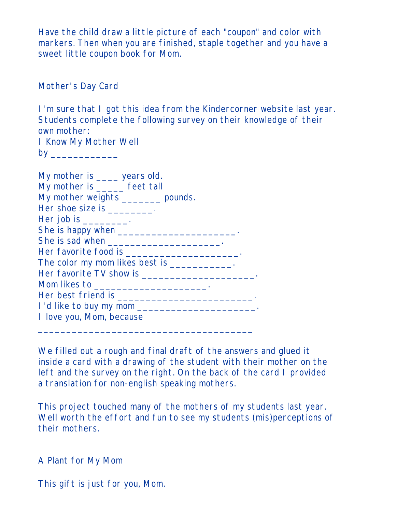Have the child draw a little picture of each "coupon" and color with markers. Then when you are finished, staple together and you have a sweet little coupon book for Mom.

Mother's Day Card

I'm sure that I got this idea from the Kindercorner website last year. Students complete the following survey on their knowledge of their own mother: I Know My Mother Well

by \_\_\_\_\_\_\_\_\_\_\_\_

| My mother is _____ years old.                        |
|------------------------------------------------------|
| My mother is ______ feet tall                        |
| My mother weights _______ pounds.                    |
| Her shoe size is _________.                          |
| Her job is $\_\_\_\_\_\_\_\_\$ .                     |
| She is happy when _________________________________. |
|                                                      |
| Her favorite food is ________________________.       |
| The color my mom likes best is ___________.          |
|                                                      |
| Mom likes to __________________________.             |
|                                                      |
|                                                      |
| I love you, Mom, because                             |
|                                                      |

We filled out a rough and final draft of the answers and glued it inside a card with a drawing of the student with their mother on the left and the survey on the right. On the back of the card I provided a translation for non-english speaking mothers.

This project touched many of the mothers of my students last year. Well worth the effort and fun to see my students (mis)perceptions of their mothers.

A Plant for My Mom

This gift is just for you, Mom.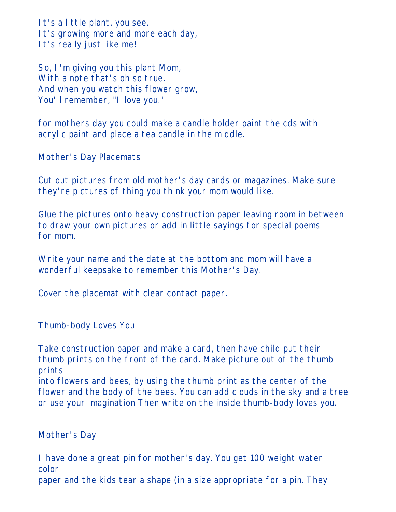It's a little plant, you see. It's growing more and more each day, It's really just like me!

So, I'm giving you this plant Mom, With a note that's oh so true. And when you watch this flower grow, You'll remember, "I love you."

for mothers day you could make a candle holder paint the cds with acrylic paint and place a tea candle in the middle.

Mother's Day Placemats

Cut out pictures from old mother's day cards or magazines. Make sure they're pictures of thing you think your mom would like.

Glue the pictures onto heavy construction paper leaving room in between to draw your own pictures or add in little sayings for special poems for mom.

Write your name and the date at the bottom and mom will have a wonderful keepsake to remember this Mother's Day.

Cover the placemat with clear contact paper.

Thumb-body Loves You

Take construction paper and make a card, then have child put their thumb prints on the front of the card. Make picture out of the thumb prints

into flowers and bees, by using the thumb print as the center of the flower and the body of the bees. You can add clouds in the sky and a tree or use your imagination Then write on the inside thumb-body loves you.

Mother's Day

I have done a great pin for mother's day. You get 100 weight water color

paper and the kids tear a shape (in a size appropriate for a pin. They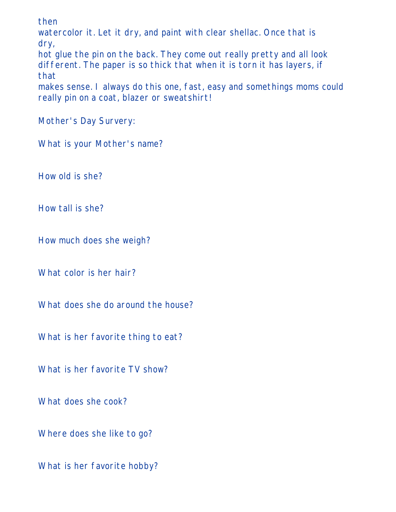then

watercolor it. Let it dry, and paint with clear shellac. Once that is dry,

hot glue the pin on the back. They come out really pretty and all look different. The paper is so thick that when it is torn it has layers, if that

makes sense. I always do this one, fast, easy and somethings moms could really pin on a coat, blazer or sweatshirt!

Mother's Day Survery:

What is your Mother's name?

How old is she?

How tall is she?

How much does she weigh?

What color is her hair?

What does she do around the house?

What is her favorite thing to eat?

What is her favorite TV show?

What does she cook?

Where does she like to go?

What is her favorite hobby?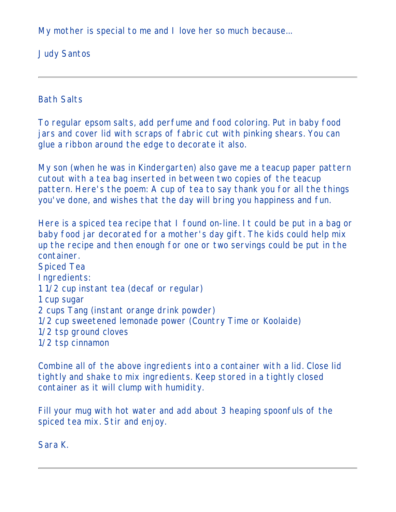My mother is special to me and I love her so much because...

Judy Santos

Bath Salts

To regular epsom salts, add perfume and food coloring. Put in baby food jars and cover lid with scraps of fabric cut with pinking shears. You can glue a ribbon around the edge to decorate it also.

My son (when he was in Kindergarten) also gave me a teacup paper pattern cutout with a tea bag inserted in between two copies of the teacup pattern. Here's the poem: A cup of tea to say thank you for all the things you've done, and wishes that the day will bring you happiness and fun.

Here is a spiced tea recipe that I found on-line. It could be put in a bag or baby food jar decorated for a mother's day gift. The kids could help mix up the recipe and then enough for one or two servings could be put in the container. Spiced Tea Ingredients: 1 1/2 cup instant tea (decaf or regular) 1 cup sugar 2 cups Tang (instant orange drink powder) 1/2 cup sweetened lemonade power (Country Time or Koolaide) 1/2 tsp ground cloves 1/2 tsp cinnamon

Combine all of the above ingredients into a container with a lid. Close lid tightly and shake to mix ingredients. Keep stored in a tightly closed container as it will clump with humidity.

Fill your mug with hot water and add about 3 heaping spoonfuls of the spiced tea mix. Stir and enjoy.

Sara K.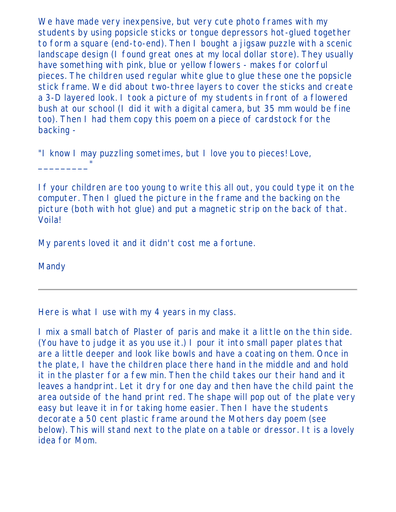We have made very inexpensive, but very cute photo frames with my students by using popsicle sticks or tongue depressors hot-glued together to form a square (end-to-end). Then I bought a jigsaw puzzle with a scenic landscape design (I found great ones at my local dollar store). They usually have something with pink, blue or yellow flowers - makes for colorful pieces. The children used regular white glue to glue these one the popsicle stick frame. We did about two-three layers to cover the sticks and create a 3-D layered look. I took a picture of my students in front of a flowered bush at our school (I did it with a digital camera, but 35 mm would be fine too). Then I had them copy this poem on a piece of cardstock for the backing -

"I know I may puzzling sometimes, but I love you to pieces! Love,

If your children are too young to write this all out, you could type it on the computer. Then I glued the picture in the frame and the backing on the picture (both with hot glue) and put a magnetic strip on the back of that. Voila!

My parents loved it and it didn't cost me a fortune.

Mandy

\_\_\_\_\_\_\_\_\_"

Here is what I use with my 4 years in my class.

I mix a small batch of Plaster of paris and make it a little on the thin side. (You have to judge it as you use it.) I pour it into small paper plates that are a little deeper and look like bowls and have a coating on them. Once in the plate, I have the children place there hand in the middle and and hold it in the plaster for a few min. Then the child takes our their hand and it leaves a handprint. Let it dry for one day and then have the child paint the area outside of the hand print red. The shape will pop out of the plate very easy but leave it in for taking home easier. Then I have the students decorate a 50 cent plastic frame around the Mothers day poem (see below). This will stand next to the plate on a table or dressor. It is a lovely idea for Mom.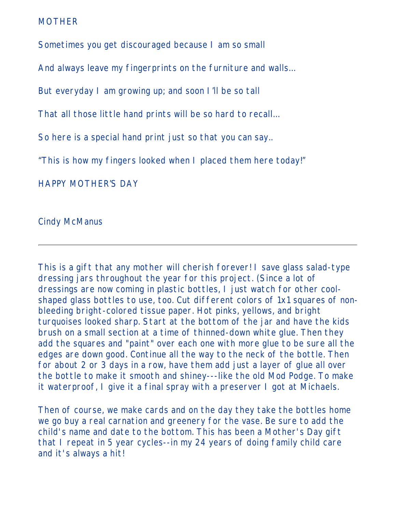#### MOTHER

Sometimes you get discouraged because I am so small

And always leave my fingerprints on the furniture and walls…

But everyday I am growing up; and soon I'll be so tall

That all those little hand prints will be so hard to recall…

So here is a special hand print just so that you can say..

"This is how my fingers looked when I placed them here today!"

#### HAPPY MOTHER'S DAY

### Cindy McManus

This is a gift that any mother will cherish forever! I save glass salad-type dressing jars throughout the year for this project. (Since a lot of dressings are now coming in plastic bottles, I just watch for other coolshaped glass bottles to use, too. Cut different colors of 1x1 squares of nonbleeding bright-colored tissue paper. Hot pinks, yellows, and bright turquoises looked sharp. Start at the bottom of the jar and have the kids brush on a small section at a time of thinned-down white glue. Then they add the squares and "paint" over each one with more glue to be sure all the edges are down good. Continue all the way to the neck of the bottle. Then for about 2 or 3 days in a row, have them add just a layer of glue all over the bottle to make it smooth and shiney---like the old Mod Podge. To make it waterproof, I give it a final spray with a preserver I got at Michaels.

Then of course, we make cards and on the day they take the bottles home we go buy a real carnation and greenery for the vase. Be sure to add the child's name and date to the bottom. This has been a Mother's Day gift that I repeat in 5 year cycles--in my 24 years of doing family child care and it's always a hit!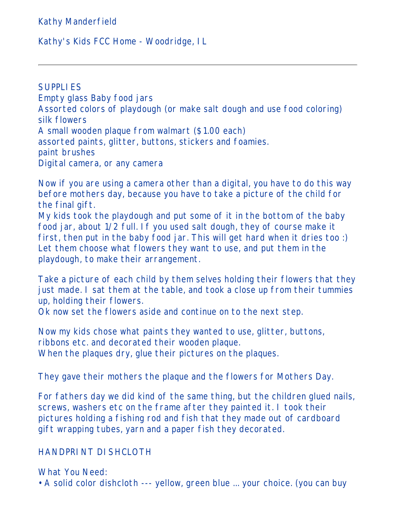Kathy Manderfield

### Kathy's Kids FCC Home - Woodridge, IL

**SUPPLIES** Empty glass Baby food jars Assorted colors of playdough (or make salt dough and use food coloring) silk flowers A small wooden plaque from walmart (\$1.00 each) assorted paints, glitter, buttons, stickers and foamies. paint brushes Digital camera, or any camera

Now if you are using a camera other than a digital, you have to do this way before mothers day, because you have to take a picture of the child for the final gift.

My kids took the playdough and put some of it in the bottom of the baby food jar, about 1/2 full. If you used salt dough, they of course make it first, then put in the baby food jar. This will get hard when it dries too :) Let them choose what flowers they want to use, and put them in the playdough, to make their arrangement.

Take a picture of each child by them selves holding their flowers that they just made. I sat them at the table, and took a close up from their tummies up, holding their flowers.

Ok now set the flowers aside and continue on to the next step.

Now my kids chose what paints they wanted to use, glitter, buttons, ribbons etc. and decorated their wooden plaque. When the plaques dry, glue their pictures on the plaques.

They gave their mothers the plaque and the flowers for Mothers Day.

For fathers day we did kind of the same thing, but the children glued nails, screws, washers etc on the frame after they painted it. I took their pictures holding a fishing rod and fish that they made out of cardboard gift wrapping tubes, yarn and a paper fish they decorated.

## HANDPRINT DISHCLOTH

What You Need: • A solid color dishcloth --- yellow, green blue ... your choice. (you can buy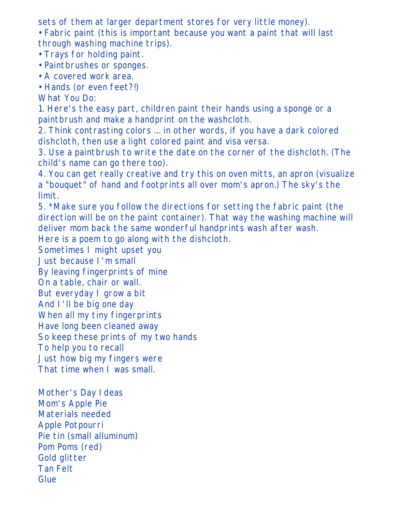sets of them at larger department stores for very little money).

• Fabric paint (this is important because you want a paint that will last through washing machine trips).

- Trays for holding paint.
- Paintbrushes or sponges.
- A covered work area.
- Hands (or even feet?!)

What You Do:

1. Here's the easy part, children paint their hands using a sponge or a paintbrush and make a handprint on the washcloth.

2. Think contrasting colors ... in other words, if you have a dark colored dishcloth, then use a light colored paint and visa versa.

3. Use a paintbrush to write the date on the corner of the dishcloth. (The child's name can go there too).

4. You can get really creative and try this on oven mitts, an apron (visualize a "bouquet" of hand and footprints all over mom's apron.) The sky's the limit.

5. \*Make sure you follow the directions for setting the fabric paint (the direction will be on the paint container). That way the washing machine will deliver mom back the same wonderful handprints wash after wash.

Here is a poem to go along with the dishcloth.

Sometimes I might upset you

Just because I'm small

By leaving fingerprints of mine

On a table, chair or wall.

But everyday I grow a bit

And I'll be big one day

When all my tiny fingerprints

Have long been cleaned away

So keep these prints of my two hands

To help you to recall

Just how big my fingers were

That time when I was small.

Mother's Day Ideas Mom's Apple Pie Materials needed Apple Potpourri Pie tin (small alluminum) Pom Poms (red) Gold glitter Tan Felt Glue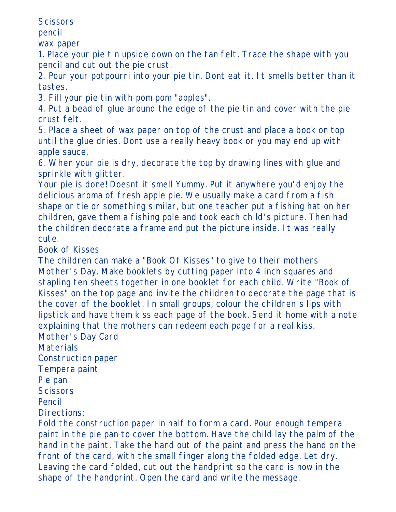**Scissors** 

pencil

wax paper

1. Place your pie tin upside down on the tan felt. Trace the shape with you pencil and cut out the pie crust.

2. Pour your potpourri into your pie tin. Dont eat it. It smells better than it tastes.

3. Fill your pie tin with pom pom "apples".

4. Put a bead of glue around the edge of the pie tin and cover with the pie crust felt.

5. Place a sheet of wax paper on top of the crust and place a book on top until the glue dries. Dont use a really heavy book or you may end up with apple sauce.

6. When your pie is dry, decorate the top by drawing lines with glue and sprinkle with glitter.

Your pie is done! Doesnt it smell Yummy. Put it anywhere you'd enjoy the delicious aroma of fresh apple pie. We usually make a card from a fish shape or tie or something similar, but one teacher put a fishing hat on her children, gave them a fishing pole and took each child's picture. Then had the children decorate a frame and put the picture inside. It was really cute.

Book of Kisses

The children can make a "Book Of Kisses" to give to their mothers Mother's Day. Make booklets by cutting paper into 4 inch squares and stapling ten sheets together in one booklet for each child. Write "Book of Kisses" on the top page and invite the children to decorate the page that is the cover of the booklet. In small groups, colour the children's lips with lipstick and have them kiss each page of the book. Send it home with a note explaining that the mothers can redeem each page for a real kiss.

Mother's Day Card

Materials

Construction paper

Tempera paint

Pie pan

**Scissors** 

Pencil

Directions:

Fold the construction paper in half to form a card. Pour enough tempera paint in the pie pan to cover the bottom. Have the child lay the palm of the hand in the paint. Take the hand out of the paint and press the hand on the front of the card, with the small finger along the folded edge. Let dry. Leaving the card folded, cut out the handprint so the card is now in the shape of the handprint. Open the card and write the message.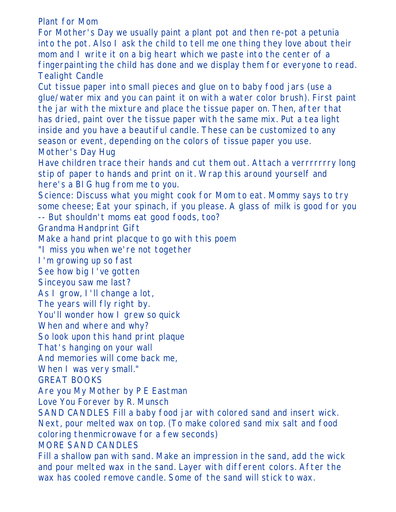Plant for Mom

For Mother's Day we usually paint a plant pot and then re-pot a petunia into the pot. Also I ask the child to tell me one thing they love about their mom and I write it on a big heart which we paste into the center of a fingerpainting the child has done and we display them for everyone to read. Tealight Candle Cut tissue paper into small pieces and glue on to baby food jars (use a glue/water mix and you can paint it on with a water color brush). First paint the jar with the mixture and place the tissue paper on. Then, after that has dried, paint over the tissue paper with the same mix. Put a tea light inside and you have a beautiful candle. These can be customized to any season or event, depending on the colors of tissue paper you use. Mother's Day Hug Have children trace their hands and cut them out. Attach a verrrrrrry long stip of paper to hands and print on it. Wrap this around yourself and here's a BIG hug from me to you. Science: Discuss what you might cook for Mom to eat. Mommy says to try some cheese; Eat your spinach, if you please. A glass of milk is good for you -- But shouldn't moms eat good foods, too? Grandma Handprint Gift Make a hand print placque to go with this poem "I miss you when we're not together I'm growing up so fast See how big I've gotten Sinceyou saw me last? As I grow, I'll change a lot, The years will fly right by. You'll wonder how I grew so quick When and where and why? So look upon this hand print plaque That's hanging on your wall And memories will come back me, When I was very small." GREAT BOOKS Are you My Mother by P E Eastman Love You Forever by R. Munsch SAND CANDLES Fill a baby food jar with colored sand and insert wick. Next, pour melted wax on top. (To make colored sand mix salt and food coloring thenmicrowave for a few seconds) MORE SAND CANDLES Fill a shallow pan with sand. Make an impression in the sand, add the wick and pour melted wax in the sand. Layer with different colors. After the wax has cooled remove candle. Some of the sand will stick to wax.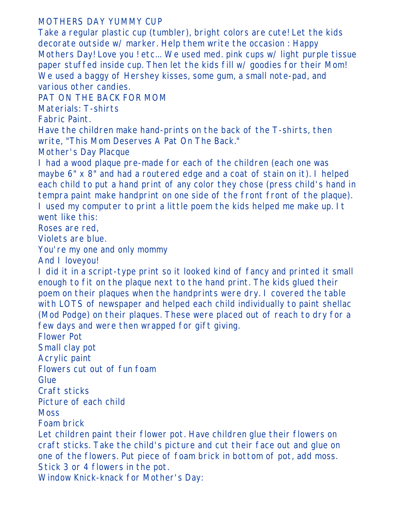## MOTHERS DAY YUMMY CUP

Take a regular plastic cup (tumbler), bright colors are cute! Let the kids decorate outside w/ marker. Help them write the occasion : Happy Mothers Day! Love you ! etc... We used med. pink cups w/ light purple tissue paper stuffed inside cup. Then let the kids fill w/ goodies for their Mom! We used a baggy of Hershey kisses, some gum, a small note-pad, and various other candies.

PAT ON THE BACK FOR MOM

Materials: T-shirts

Fabric Paint.

Have the children make hand-prints on the back of the T-shirts, then write, "This Mom Deserves A Pat On The Back."

Mother's Day Placque

I had a wood plaque pre-made for each of the children (each one was maybe 6" x 8" and had a routered edge and a coat of stain on it). I helped each child to put a hand print of any color they chose (press child's hand in tempra paint make handprint on one side of the front front of the plaque). I used my computer to print a little poem the kids helped me make up. It went like this:

Roses are red,

Violets are blue.

You're my one and only mommy

And I loveyou!

I did it in a script-type print so it looked kind of fancy and printed it small enough to fit on the plaque next to the hand print. The kids glued their poem on their plaques when the handprints were dry. I covered the table with LOTS of newspaper and helped each child individually to paint shellac (Mod Podge) on their plaques. These were placed out of reach to dry for a few days and were then wrapped for gift giving.

Flower Pot

Small clay pot

Acrylic paint

Flowers cut out of fun foam

Glue

Craft sticks

Picture of each child

**Moss** 

Foam brick

Let children paint their flower pot. Have children glue their flowers on craft sticks. Take the child's picture and cut their face out and glue on one of the flowers. Put piece of foam brick in bottom of pot, add moss. Stick 3 or 4 flowers in the pot.

Window Knick-knack for Mother's Day: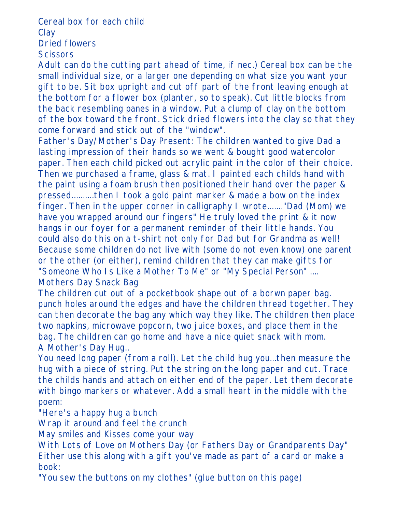Cereal box for each child **Clay** Dried flowers **Scissors** 

Adult can do the cutting part ahead of time, if nec.) Cereal box can be the small individual size, or a larger one depending on what size you want your gift to be. Sit box upright and cut off part of the front leaving enough at the bottom for a flower box (planter, so to speak). Cut little blocks from the back resembling panes in a window. Put a clump of clay on the bottom of the box toward the front. Stick dried flowers into the clay so that they come forward and stick out of the "window".

Father's Day/Mother's Day Present: The children wanted to give Dad a lasting impression of their hands so we went & bought good watercolor paper. Then each child picked out acrylic paint in the color of their choice. Then we purchased a frame, glass & mat. I painted each childs hand with the paint using a foam brush then positioned their hand over the paper & pressed..........then I took a gold paint marker & made a bow on the index finger. Then in the upper corner in calligraphy I wrote......."Dad (Mom) we have you wrapped around our fingers" He truly loved the print & it now hangs in our foyer for a permanent reminder of their little hands. You could also do this on a t-shirt not only for Dad but for Grandma as well! Because some children do not live with (some do not even know) one parent or the other (or either), remind children that they can make gifts for "Someone Who Is Like a Mother To Me" or "My Special Person" .... Mothers Day Snack Bag

The children cut out of a pocketbook shape out of a borwn paper bag. punch holes around the edges and have the children thread together. They can then decorate the bag any which way they like. The children then place two napkins, microwave popcorn, two juice boxes, and place them in the bag. The children can go home and have a nice quiet snack with mom. A Mother's Day Hug..

You need long paper (from a roll). Let the child hug you...then measure the hug with a piece of string. Put the string on the long paper and cut. Trace the childs hands and attach on either end of the paper. Let them decorate with bingo markers or whatever. Add a small heart in the middle with the poem:

"Here's a happy hug a bunch

Wrap it around and feel the crunch

May smiles and Kisses come your way

With Lots of Love on Mothers Day (or Fathers Day or Grandparents Day" Either use this along with a gift you've made as part of a card or make a book:

"You sew the buttons on my clothes" (glue button on this page)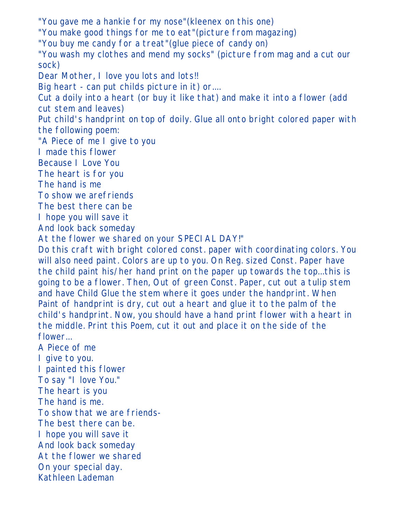"You gave me a hankie for my nose"(kleenex on this one) "You make good things for me to eat"(picture from magazing) "You buy me candy for a treat"(glue piece of candy on) "You wash my clothes and mend my socks" (picture from mag and a cut our sock) Dear Mother, I love you lots and lots!! Big heart - can put childs picture in it) or.... Cut a doily into a heart (or buy it like that) and make it into a flower (add cut stem and leaves) Put child's handprint on top of doily. Glue all onto bright colored paper with the following poem: "A Piece of me I give to you I made this flower Because I Love You The heart is for you The hand is me To show we arefriends The best there can be I hope you will save it And look back someday At the flower we shared on your SPECIAL DAY!" Do this craft with bright colored const. paper with coordinating colors. You will also need paint. Colors are up to you. On Reg. sized Const. Paper have the child paint his/her hand print on the paper up towards the top...this is going to be a flower. Then, Out of green Const. Paper, cut out a tulip stem and have Child Glue the stem where it goes under the handprint. When Paint of handprint is dry, cut out a heart and glue it to the palm of the child's handprint. Now, you should have a hand print flower with a heart in the middle. Print this Poem, cut it out and place it on the side of the flower... A Piece of me I give to you. I painted this flower To say "I love You." The heart is you The hand is me. To show that we are friends-The best there can be. I hope you will save it And look back someday At the flower we shared On your special day. Kathleen Lademan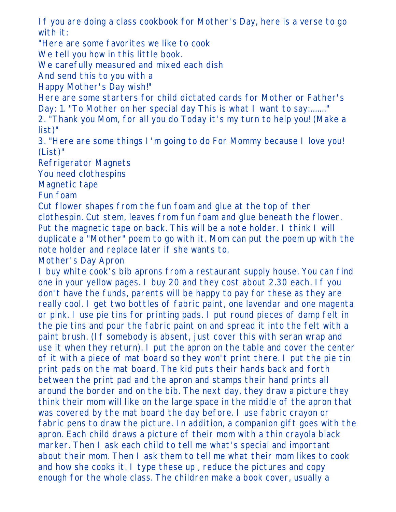If you are doing a class cookbook for Mother's Day, here is a verse to go with it:

"Here are some favorites we like to cook

We tell you how in this little book.

We carefully measured and mixed each dish

And send this to you with a

Happy Mother's Day wish!"

Here are some starters for child dictated cards for Mother or Father's Day: 1. "To Mother on her special day This is what I want to say:......."

2. "Thank you Mom, for all you do Today it's my turn to help you! (Make a list)"

3. "Here are some things I'm going to do For Mommy because I love you! (List)"

Refrigerator Magnets

You need clothespins

Magnetic tape

Fun foam

Cut flower shapes from the fun foam and glue at the top of ther clothespin. Cut stem, leaves from fun foam and glue beneath the flower. Put the magnetic tape on back. This will be a note holder. I think I will duplicate a "Mother" poem to go with it. Mom can put the poem up with the note holder and replace later if she wants to.

Mother's Day Apron

I buy white cook's bib aprons from a restaurant supply house. You can find one in your yellow pages. I buy 20 and they cost about 2.30 each. If you don't have the funds, parents will be happy to pay for these as they are really cool. I get two bottles of fabric paint, one lavendar and one magenta or pink. I use pie tins for printing pads. I put round pieces of damp felt in the pie tins and pour the fabric paint on and spread it into the felt with a paint brush. (If somebody is absent, just cover this with seran wrap and use it when they return). I put the apron on the table and cover the center of it with a piece of mat board so they won't print there. I put the pie tin print pads on the mat board. The kid puts their hands back and forth between the print pad and the apron and stamps their hand prints all around the border and on the bib. The next day, they draw a picture they think their mom will like on the large space in the middle of the apron that was covered by the mat board the day before. I use fabric crayon or fabric pens to draw the picture. In addition, a companion gift goes with the apron. Each child draws a picture of their mom with a thin crayola black marker. Then I ask each child to tell me what's special and important about their mom. Then I ask them to tell me what their mom likes to cook and how she cooks it. I type these up , reduce the pictures and copy enough for the whole class. The children make a book cover, usually a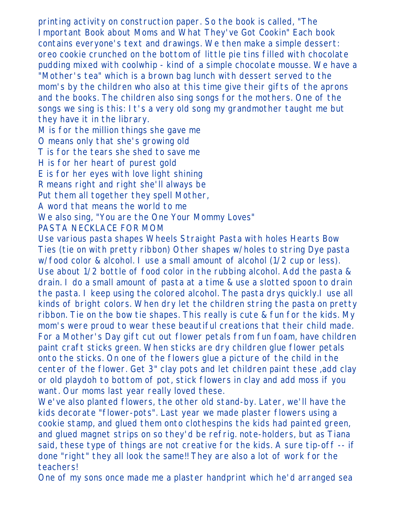printing activity on construction paper. So the book is called, "The Important Book about Moms and What They've Got Cookin" Each book contains everyone's text and drawings. We then make a simple dessert: oreo cookie crunched on the bottom of little pie tins filled with chocolate pudding mixed with coolwhip - kind of a simple chocolate mousse. We have a "Mother's tea" which is a brown bag lunch with dessert served to the mom's by the children who also at this time give their gifts of the aprons and the books. The children also sing songs for the mothers. One of the songs we sing is this: It's a very old song my grandmother taught me but they have it in the library.

M is for the million things she gave me

O means only that she's growing old

T is for the tears she shed to save me

H is for her heart of purest gold

E is for her eyes with love light shining

R means right and right she'll always be

Put them all together they spell Mother,

A word that means the world to me

We also sing, "You are the One Your Mommy Loves"

PASTA NECKLACE FOR MOM

Use various pasta shapes Wheels Straight Pasta with holes Hearts Bow Ties (tie on with pretty ribbon) Other shapes w/holes to string Dye pasta w/food color & alcohol. I use a small amount of alcohol (1/2 cup or less). Use about 1/2 bottle of food color in the rubbing alcohol. Add the pasta & drain. I do a small amount of pasta at a time & use a slotted spoon to drain the pasta. I keep using the colored alcohol. The pasta drys quickly.I use all kinds of bright colors. When dry let the children string the pasta on pretty ribbon. Tie on the bow tie shapes. This really is cute & fun for the kids. My mom's were proud to wear these beautiful creations that their child made. For a Mother's Day gift cut out flower petals from fun foam, have children paint craft sticks green. When sticks are dry children glue flower petals onto the sticks. On one of the flowers glue a picture of the child in the center of the flower. Get 3" clay pots and let children paint these ,add clay or old playdoh to bottom of pot, stick flowers in clay and add moss if you want. Our moms last year really loved these.

We've also planted flowers, the other old stand-by. Later, we'll have the kids decorate "flower-pots". Last year we made plaster flowers using a cookie stamp, and glued them onto clothespins the kids had painted green, and glued magnet strips on so they'd be refrig. note-holders, but as Tiana said, these type of things are not creative for the kids. A sure tip-off -- if done "right" they all look the same!! They are also a lot of work for the teachers!

One of my sons once made me a plaster handprint which he'd arranged sea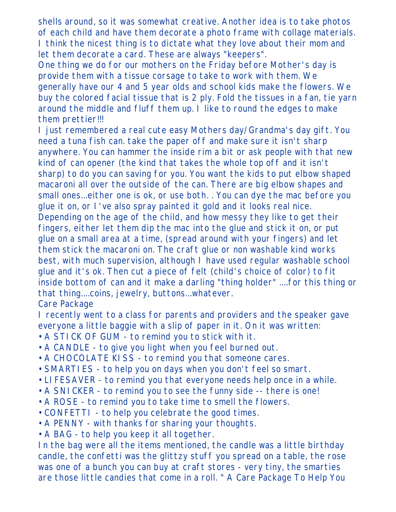shells around, so it was somewhat creative. Another idea is to take photos of each child and have them decorate a photo frame with collage materials. I think the nicest thing is to dictate what they love about their mom and let them decorate a card. These are always "keepers".

One thing we do for our mothers on the Friday before Mother's day is provide them with a tissue corsage to take to work with them. We generally have our 4 and 5 year olds and school kids make the flowers. We buy the colored facial tissue that is 2 ply. Fold the tissues in a fan, tie yarn around the middle and fluff them up. I like to round the edges to make them prettier!!!

I just remembered a real cute easy Mothers day/Grandma's day gift. You need a tuna fish can. take the paper off and make sure it isn't sharp anywhere. You can hammer the inside rim a bit or ask people with that new kind of can opener (the kind that takes the whole top off and it isn't sharp) to do you can saving for you. You want the kids to put elbow shaped macaroni all over the outside of the can. There are big elbow shapes and small ones...either one is ok, or use both. . You can dye the mac before you glue it on, or I've also spray painted it gold and it looks real nice. Depending on the age of the child, and how messy they like to get their fingers, either let them dip the mac into the glue and stick it on, or put glue on a small area at a time, (spread around with your fingers) and let them stick the macaroni on. The craft glue or non washable kind works best, with much supervision, although I have used regular washable school glue and it's ok. Then cut a piece of felt (child's choice of color) to fit inside bottom of can and it make a darling "thing holder" ....for this thing or that thing....coins, jewelry, buttons...whatever.

Care Package

I recently went to a class for parents and providers and the speaker gave everyone a little baggie with a slip of paper in it. On it was written:

- A STICK OF GUM to remind you to stick with it.
- A CANDLE to give you light when you feel burned out.
- A CHOCOLATE KISS to remind you that someone cares.
- SMARTIES to help you on days when you don't feel so smart.
- LIFESAVER to remind you that everyone needs help once in a while.
- A SNICKER to remind you to see the funny side -- there is one!
- A ROSE to remind you to take time to smell the flowers.
- CONFETTI to help you celebrate the good times.
- A PENNY with thanks for sharing your thoughts.
- A BAG to help you keep it all together.

In the bag were all the items mentioned, the candle was a little birthday candle, the confetti was the glittzy stuff you spread on a table, the rose was one of a bunch you can buy at craft stores - very tiny, the smarties are those little candies that come in a roll. " A Care Package To Help You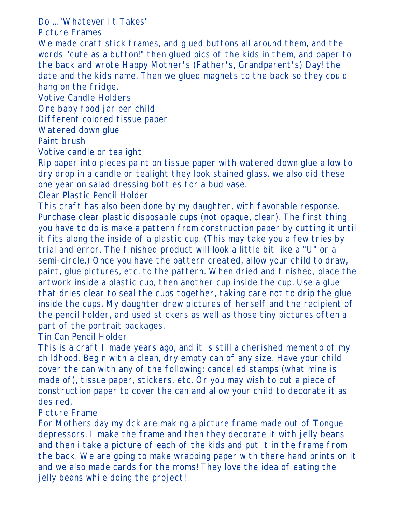Do ..."Whatever It Takes"

Picture Frames

We made craft stick frames, and glued buttons all around them, and the words "cute as a button!" then glued pics of the kids in them, and paper to the back and wrote Happy Mother's (Father's, Grandparent's) Day! the date and the kids name. Then we glued magnets to the back so they could hang on the fridge.

Votive Candle Holders

One baby food jar per child

Different colored tissue paper

Watered down glue

Paint brush

Votive candle or tealight

Rip paper into pieces paint on tissue paper with watered down glue allow to dry drop in a candle or tealight they look stained glass. we also did these one year on salad dressing bottles for a bud vase.

Clear Plastic Pencil Holder

This craft has also been done by my daughter, with favorable response. Purchase clear plastic disposable cups (not opaque, clear). The first thing you have to do is make a pattern from construction paper by cutting it until it fits along the inside of a plastic cup. (This may take you a few tries by trial and error. The finished product will look a little bit like a "U" or a semi-circle.) Once you have the pattern created, allow your child to draw, paint, glue pictures, etc. to the pattern. When dried and finished, place the artwork inside a plastic cup, then another cup inside the cup. Use a glue that dries clear to seal the cups together, taking care not to drip the glue inside the cups. My daughter drew pictures of herself and the recipient of the pencil holder, and used stickers as well as those tiny pictures often a part of the portrait packages.

Tin Can Pencil Holder

This is a craft I made years ago, and it is still a cherished memento of my childhood. Begin with a clean, dry empty can of any size. Have your child cover the can with any of the following: cancelled stamps (what mine is made of), tissue paper, stickers, etc. Or you may wish to cut a piece of construction paper to cover the can and allow your child to decorate it as desired.

Picture Frame

For Mothers day my dck are making a picture frame made out of Tongue depressors. I make the frame and then they decorate it with jelly beans and then i take a picture of each of the kids and put it in the frame from the back. We are going to make wrapping paper with there hand prints on it and we also made cards for the moms! They love the idea of eating the jelly beans while doing the project!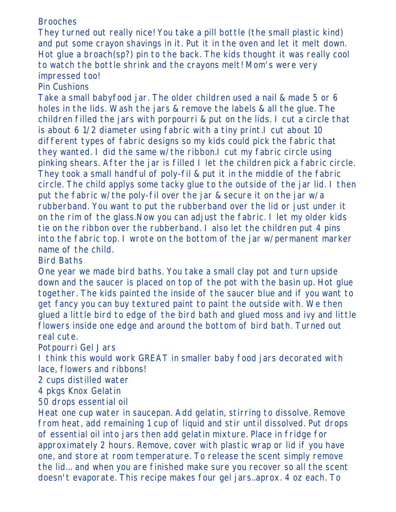### Brooches

They turned out really nice! You take a pill bottle (the small plastic kind) and put some crayon shavings in it. Put it in the oven and let it melt down. Hot glue a broach(sp?) pin to the back. The kids thought it was really cool to watch the bottle shrink and the crayons melt! Mom's were very impressed too!

# Pin Cushions

Take a small babyfood jar. The older children used a nail & made 5 or 6 holes in the lids. Wash the jars & remove the labels & all the glue. The children filled the jars with porpourri & put on the lids. I cut a circle that is about 6 1/2 diameter using fabric with a tiny print.I cut about 10 different types of fabric designs so my kids could pick the fabric that they wanted. I did the same w/the ribbon.I cut my fabric circle using pinking shears. After the jar is filled I let the children pick a fabric circle. They took a small handful of poly-fil & put it in the middle of the fabric circle. The child applys some tacky glue to the outside of the jar lid. I then put the fabric w/the poly-fil over the jar & secure it on the jar w/a rubberband. You want to put the rubberband over the lid or just under it on the rim of the glass.Now you can adjust the fabric. I let my older kids tie on the ribbon over the rubberband. I also let the children put 4 pins into the fabric top. I wrote on the bottom of the jar w/permanent marker name of the child.

Bird Baths

One year we made bird baths. You take a small clay pot and turn upside down and the saucer is placed on top of the pot with the basin up. Hot glue together. The kids painted the inside of the saucer blue and if you want to get fancy you can buy textured paint to paint the outside with. We then glued a little bird to edge of the bird bath and glued moss and ivy and little flowers inside one edge and around the bottom of bird bath. Turned out real cute.

Potpourri Gel Jars

I think this would work GREAT in smaller baby food jars decorated with lace, flowers and ribbons!

2 cups distilled water

4 pkgs Knox Gelatin

50 drops essential oil

Heat one cup water in saucepan. Add gelatin, stirring to dissolve. Remove from heat, add remaining 1 cup of liquid and stir until dissolved. Put drops of essential oil into jars then add gelatin mixture. Place in fridge for approximately 2 hours. Remove, cover with plastic wrap or lid if you have one, and store at room temperature. To release the scent simply remove the lid... and when you are finished make sure you recover so all the scent doesn't evaporate. This recipe makes four gel jars..aprox. 4 oz each. To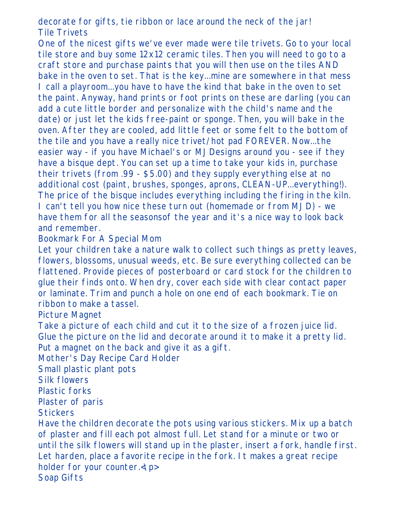decorate for gifts, tie ribbon or lace around the neck of the jar! Tile Trivets

One of the nicest gifts we've ever made were tile trivets. Go to your local tile store and buy some 12x12 ceramic tiles. Then you will need to go to a craft store and purchase paints that you will then use on the tiles AND bake in the oven to set. That is the key...mine are somewhere in that mess I call a playroom...you have to have the kind that bake in the oven to set the paint. Anyway, hand prints or foot prints on these are darling (you can add a cute little border and personalize with the child's name and the date) or just let the kids free-paint or sponge. Then, you will bake in the oven. After they are cooled, add little feet or some felt to the bottom of the tile and you have a really nice trivet/hot pad FOREVER. Now...the easier way - if you have Michael's or MJDesigns around you - see if they have a bisque dept. You can set up a time to take your kids in, purchase their trivets (from .99 - \$5.00) and they supply everything else at no additional cost (paint, brushes, sponges, aprons, CLEAN-UP...everything!). The price of the bisque includes everything including the firing in the kiln. I can't tell you how nice these turn out (homemade or from MJD) - we have them for all the seasonsof the year and it's a nice way to look back and remember.

# Bookmark For A Special Mom

Let your children take a nature walk to collect such things as pretty leaves, flowers, blossoms, unusual weeds, etc. Be sure everything collected can be flattened. Provide pieces of posterboard or card stock for the children to glue their finds onto. When dry, cover each side with clear contact paper or laminate. Trim and punch a hole on one end of each bookmark. Tie on ribbon to make a tassel.

Picture Magnet

Take a picture of each child and cut it to the size of a frozen juice lid. Glue the picture on the lid and decorate around it to make it a pretty lid. Put a magnet on the back and give it as a gift.

Mother's Day Recipe Card Holder

Small plastic plant pots

Silk flowers

Plastic forks

Plaster of paris

**Stickers** 

Have the children decorate the pots using various stickers. Mix up a batch of plaster and fill each pot almost full. Let stand for a minute or two or until the silk flowers will stand up in the plaster, insert a fork, handle first. Let harden, place a favorite recipe in the fork. It makes a great recipe holder for your counter. $\langle p \rangle$ Soap Gifts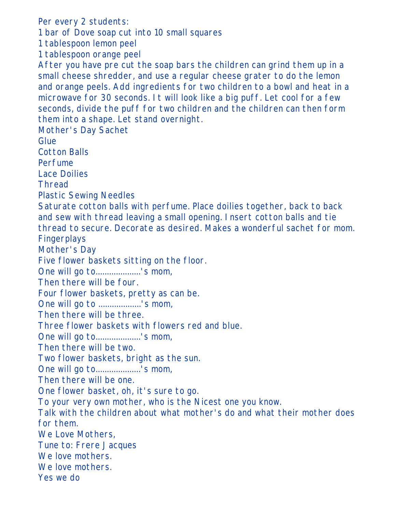Per every 2 students: 1 bar of Dove soap cut into 10 small squares 1 tablespoon lemon peel 1 tablespoon orange peel After you have pre cut the soap bars the children can grind them up in a small cheese shredder, and use a regular cheese grater to do the lemon and orange peels. Add ingredients for two children to a bowl and heat in a microwave for 30 seconds. It will look like a big puff. Let cool for a few seconds, divide the puff for two children and the children can then form them into a shape. Let stand overnight. Mother's Day Sachet Glue Cotton Balls Perfume Lace Doilies Thread Plastic Sewing Needles Saturate cotton balls with perfume. Place doilies together, back to back and sew with thread leaving a small opening. Insert cotton balls and tie thread to secure. Decorate as desired. Makes a wonderful sachet for mom. Fingerplays Mother's Day Five flower baskets sitting on the floor. One will go to....................'s mom, Then there will be four. Four flower baskets, pretty as can be. One will go to ...................'s mom, Then there will be three. Three flower baskets with flowers red and blue. One will go to....................'s mom, Then there will be two. Two flower baskets, bright as the sun. One will go to....................'s mom, Then there will be one. One flower basket, oh, it's sure to go. To your very own mother, who is the Nicest one you know. Talk with the children about what mother's do and what their mother does for them. We Love Mothers, Tune to: Frere Jacques We love mothers. We love mothers. Yes we do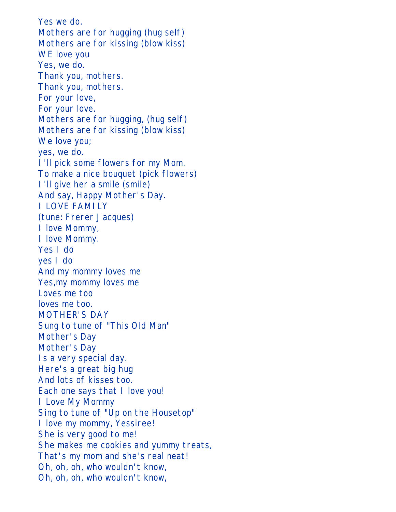Yes we do. Mothers are for hugging (hug self) Mothers are for kissing (blow kiss) WE love you Yes, we do. Thank you, mothers. Thank you, mothers. For your love, For your love. Mothers are for hugging, (hug self) Mothers are for kissing (blow kiss) We love you; yes, we do. I'll pick some flowers for my Mom. To make a nice bouquet (pick flowers) I'll give her a smile (smile) And say, Happy Mother's Day. I LOVE FAMILY (tune: Frerer Jacques) I love Mommy, I love Mommy. Yes I do yes I do And my mommy loves me Yes,my mommy loves me Loves me too loves me too. MOTHER'S DAY Sung to tune of "This Old Man" Mother's Day Mother's Day Is a very special day. Here's a great big hug And lots of kisses too. Each one says that I love you! I Love My Mommy Sing to tune of "Up on the Housetop" I love my mommy, Yessiree! She is very good to me! She makes me cookies and yummy treats, That's my mom and she's real neat! Oh, oh, oh, who wouldn't know, Oh, oh, oh, who wouldn't know,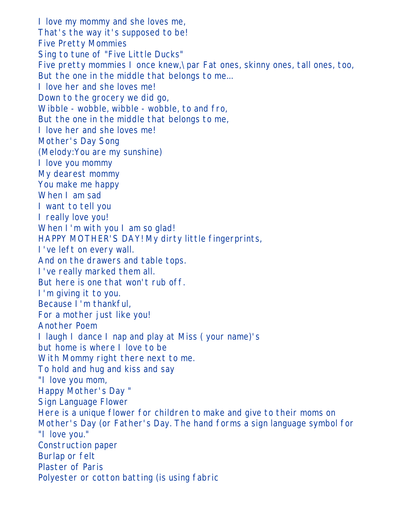I love my mommy and she loves me, That's the way it's supposed to be! Five Pretty Mommies Sing to tune of "Five Little Ducks" Five pretty mommies I once knew,\par Fat ones, skinny ones, tall ones, too, But the one in the middle that belongs to me... I love her and she loves me! Down to the grocery we did go, Wibble - wobble, wibble - wobble, to and fro, But the one in the middle that belongs to me, I love her and she loves me! Mother's Day Song (Melody:You are my sunshine) I love you mommy My dearest mommy You make me happy When I am sad I want to tell you I really love you! When I'm with you I am so glad! HAPPY MOTHER'S DAY! My dirty little fingerprints, I've left on every wall. And on the drawers and table tops. I've really marked them all. But here is one that won't rub off. I'm giving it to you. Because I'm thankful, For a mother just like you! Another Poem I laugh I dance I nap and play at Miss ( your name)'s but home is where I love to be With Mommy right there next to me. To hold and hug and kiss and say "I love you mom, Happy Mother's Day " Sign Language Flower Here is a unique flower for children to make and give to their moms on Mother's Day (or Father's Day. The hand forms a sign language symbol for "I love you." Construction paper Burlap or felt Plaster of Paris Polyester or cotton batting (is using fabric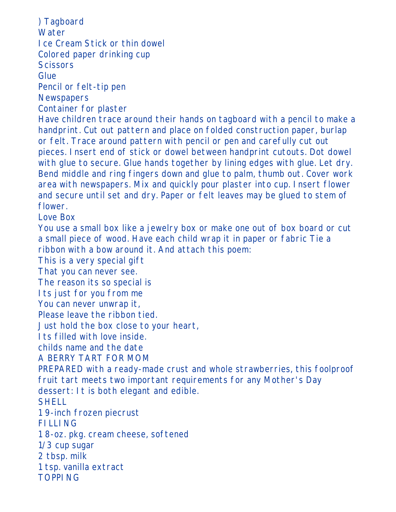) Tagboard **Water** Ice Cream Stick or thin dowel Colored paper drinking cup **Scissors** Glue Pencil or felt-tip pen **Newspapers** Container for plaster Have children trace around their hands on tagboard with a pencil to make a handprint. Cut out pattern and place on folded construction paper, burlap or felt. Trace around pattern with pencil or pen and carefully cut out pieces. Insert end of stick or dowel between handprint cutouts. Dot dowel with glue to secure. Glue hands together by lining edges with glue. Let dry. Bend middle and ring fingers down and glue to palm, thumb out. Cover work area with newspapers. Mix and quickly pour plaster into cup. Insert flower and secure until set and dry. Paper or felt leaves may be glued to stem of flower. Love Box You use a small box like a jewelry box or make one out of box board or cut a small piece of wood. Have each child wrap it in paper or fabric Tie a ribbon with a bow around it. And attach this poem: This is a very special gift That you can never see. The reason its so special is Its just for you from me You can never unwrap it, Please leave the ribbon tied. Just hold the box close to your heart, Its filled with love inside. childs name and the date A BERRY TART FOR MOM PREPARED with a ready-made crust and whole strawberries, this foolproof fruit tart meets two important requirements for any Mother's Day dessert: It is both elegant and edible. **SHELL** 1 9-inch frozen piecrust FILLING 1 8-oz. pkg. cream cheese, softened 1/3 cup sugar 2 tbsp. milk 1 tsp. vanilla extract TOPPING